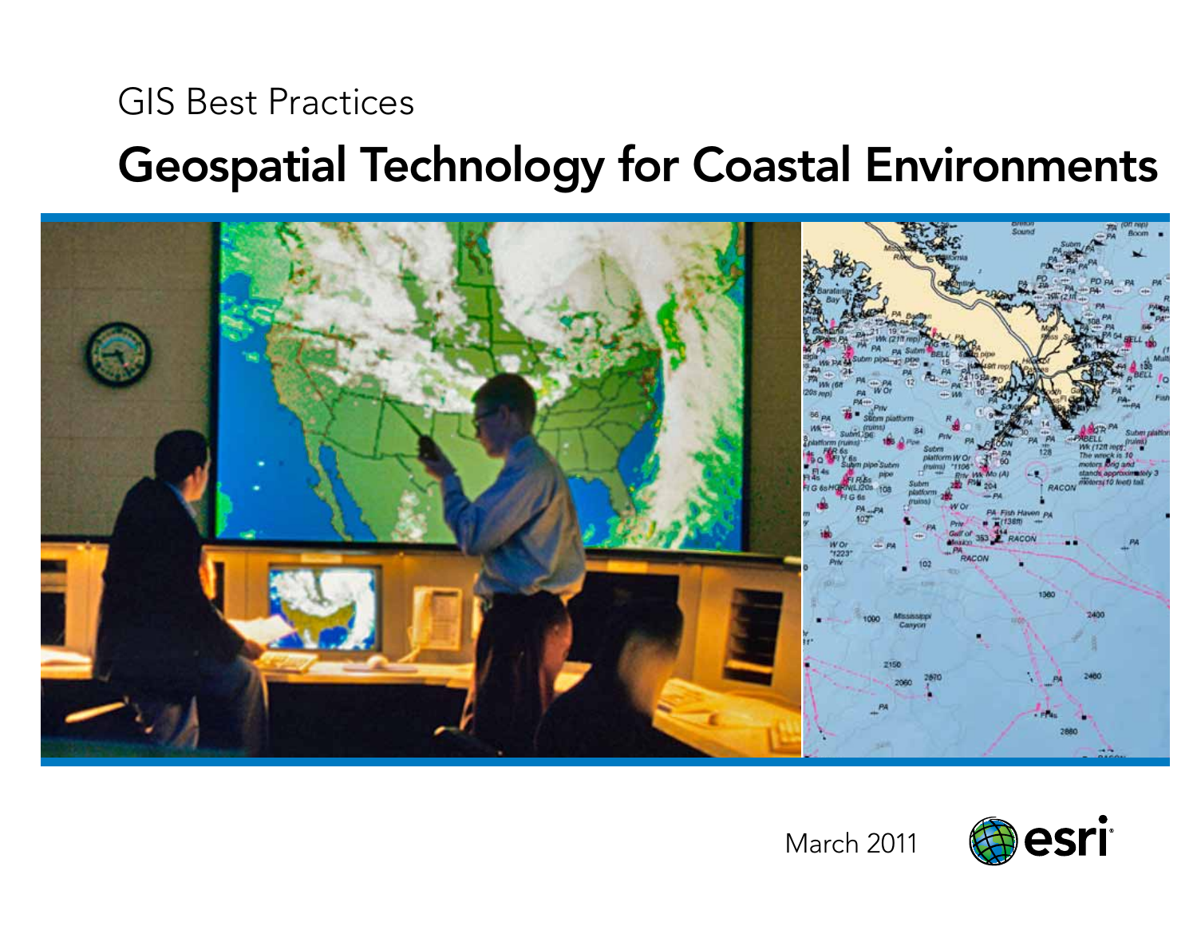## GIS Best Practices

# Geospatial Technology for Coastal Environments



March 2011

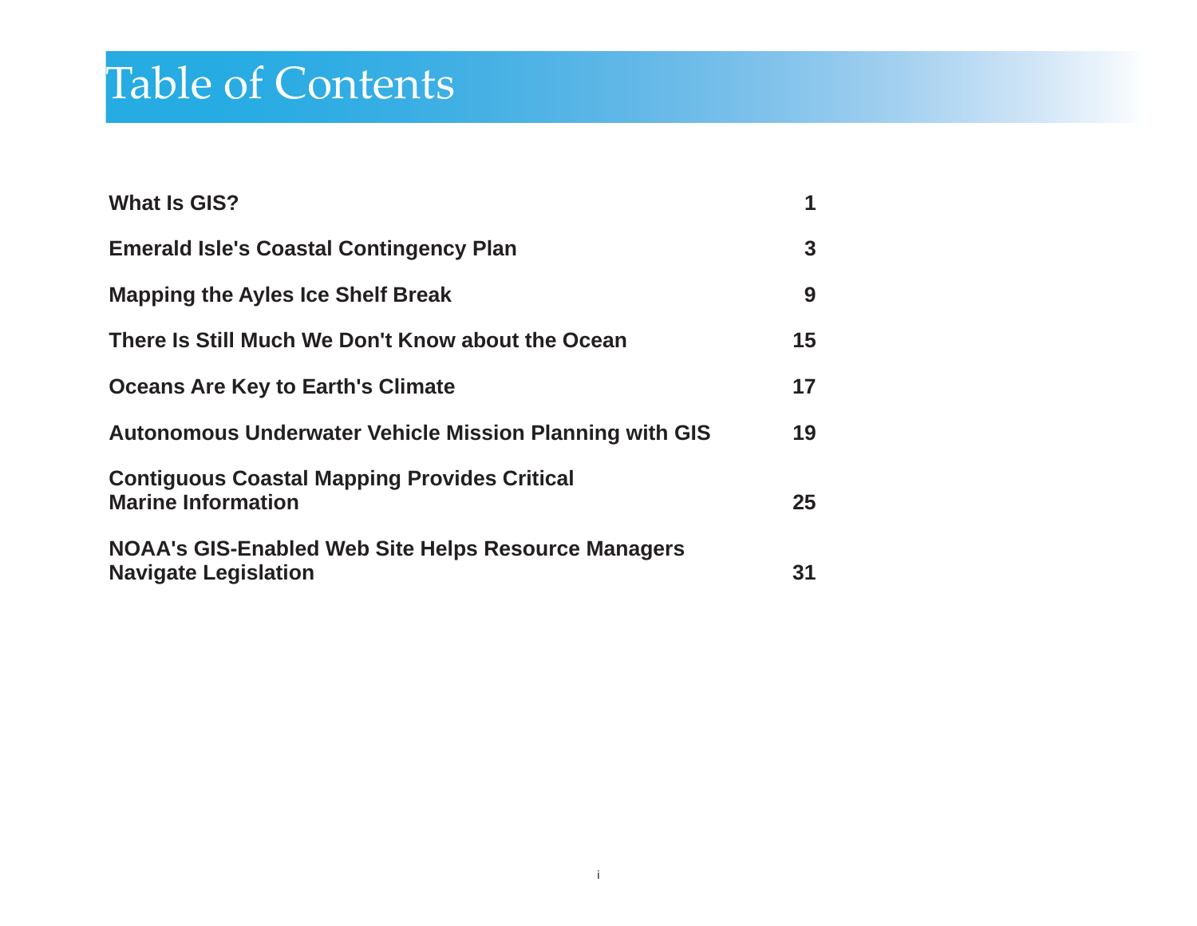# Table of Contents

| <b>What Is GIS?</b>                                                                       | 1  |
|-------------------------------------------------------------------------------------------|----|
| <b>Emerald Isle's Coastal Contingency Plan</b>                                            | 3  |
| <b>Mapping the Ayles Ice Shelf Break</b>                                                  | 9  |
| There Is Still Much We Don't Know about the Ocean                                         | 15 |
| <b>Oceans Are Key to Earth's Climate</b>                                                  | 17 |
| Autonomous Underwater Vehicle Mission Planning with GIS                                   | 19 |
| <b>Contiguous Coastal Mapping Provides Critical</b><br><b>Marine Information</b>          | 25 |
| <b>NOAA's GIS-Enabled Web Site Helps Resource Managers</b><br><b>Navigate Legislation</b> | 31 |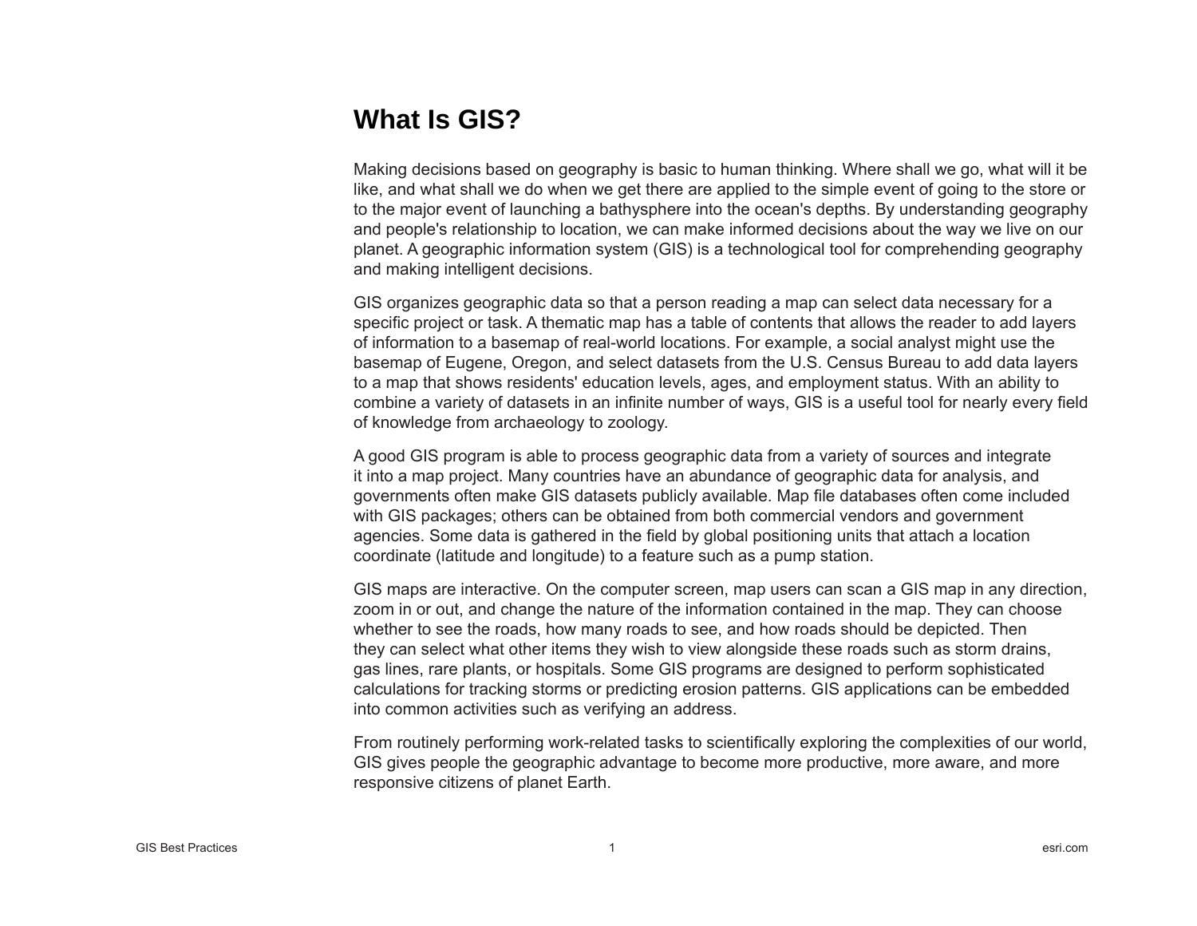## **What Is GIS?**

Making decisions based on geography is basic to human thinking. Where shall we go, what will it be like, and what shall we do when we get there are applied to the simple event of going to the store or to the major event of launching a bathysphere into the ocean's depths. By understanding geography and people's relationship to location, we can make informed decisions about the way we live on our planet. A geographic information system (GIS) is a technological tool for comprehending geography and making intelligent decisions.

GIS organizes geographic data so that a person reading a map can select data necessary for a speci fi c project or task. A thematic map has a table of contents that allows the reader to add layers of information to a basemap of real-world locations. For example, a social analyst might use the basemap of Eugene, Oregon, and select datasets from the U.S. Census Bureau to add data layers to a map that shows residents' education levels, ages, and employment status. With an ability to combine a variety of datasets in an infinite number of ways, GIS is a useful tool for nearly every field of knowledge from archaeology to zoology.

A good GIS program is able to process geographic data from a variety of sources and integrate it into a map project. Many countries have an abundance of geographic data for analysis, and governments often make GIS datasets publicly available. Map file databases often come included with GIS packages; others can be obtained from both commercial vendors and government agencies. Some data is gathered in the field by global positioning units that attach a location coordinate (latitude and longitude) to a feature such as a pump station.

GIS maps are interactive. On the computer screen, map users can scan a GIS map in any direction, zoom in or out, and change the nature of the information contained in the map. They can choose whether to see the roads, how many roads to see, and how roads should be depicted. Then they can select what other items they wish to view alongside these roads such as storm drains, gas lines, rare plants, or hospitals. Some GIS programs are designed to perform sophisticated calculations for tracking storms or predicting erosion patterns. GIS applications can be embedded into common activities such as verifying an address.

From routinely performing work-related tasks to scienti fi cally exploring the complexities of our world, GIS gives people the geographic advantage to become more productive, more aware, and more responsive citizens of planet Earth.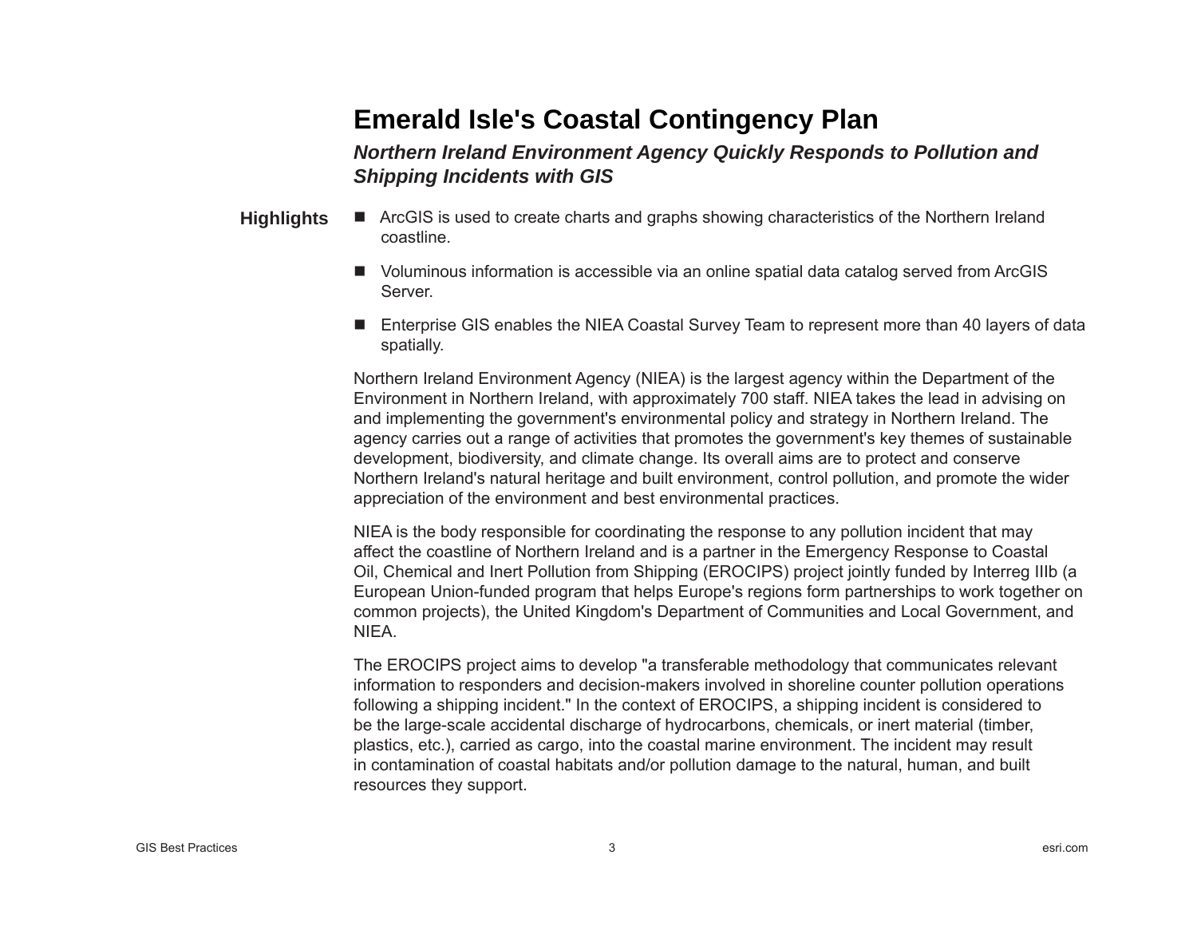## **Emerald Isle's Coastal Contingency Plan**

*Northern Ireland Environment Agency Quickly Responds to Pollution and Shipping Incidents with GIS*

- ArcGIS is used to create charts and graphs showing characteristics of the Northern Ireland coastline. **Highlights**
	- Voluminous information is accessible via an online spatial data catalog served from ArcGIS Server.
	- Enterprise GIS enables the NIEA Coastal Survey Team to represent more than 40 layers of data spatially.

Northern Ireland Environment Agency (NIEA) is the largest agency within the Department of the Environment in Northern Ireland, with approximately 700 staff. NIEA takes the lead in advising on and implementing the government's environmental policy and strategy in Northern Ireland. The agency carries out a range of activities that promotes the government's key themes of sustainable development, biodiversity, and climate change. Its overall aims are to protect and conserve Northern Ireland's natural heritage and built environment, control pollution, and promote the wider appreciation of the environment and best environmental practices.

NIEA is the body responsible for coordinating the response to any pollution incident that may affect the coastline of Northern Ireland and is a partner in the Emergency Response to Coastal Oil, Chemical and Inert Pollution from Shipping (EROCIPS) project jointly funded by Interreg IIIb (a European Union-funded program that helps Europe's regions form partnerships to work together on common projects), the United Kingdom's Department of Communities and Local Government, and NIEA.

The EROCIPS project aims to develop "a transferable methodology that communicates relevant information to responders and decision-makers involved in shoreline counter pollution operations following a shipping incident." In the context of EROCIPS, a shipping incident is considered to be the large-scale accidental discharge of hydrocarbons, chemicals, or inert material (timber, plastics, etc.), carried as cargo, into the coastal marine environment. The incident may result in contamination of coastal habitats and/or pollution damage to the natural, human, and built resources they support.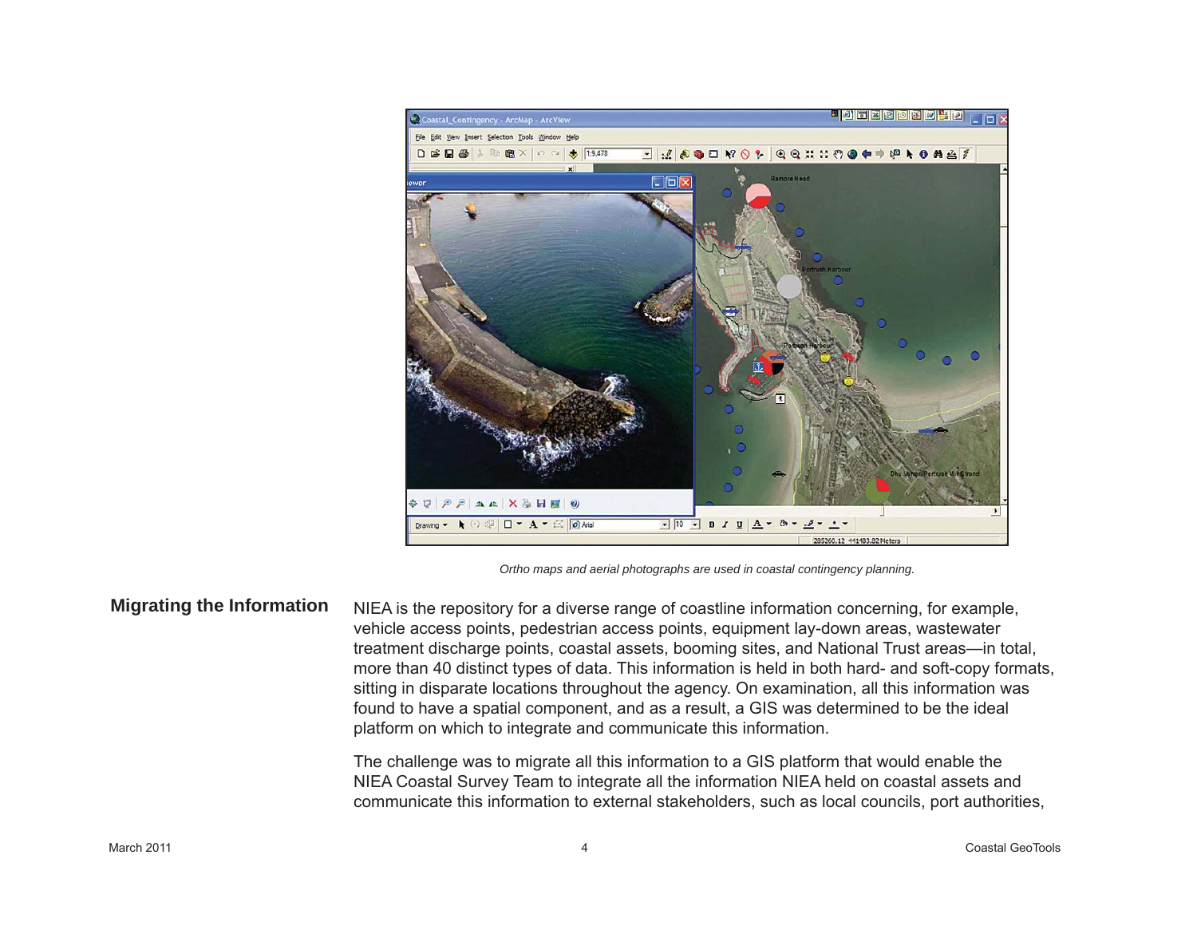

*Ortho maps and aerial photographs are used in coastal contingency planning.*

**Migrating the Information**

NIEA is the repository for a diverse range of coastline information concerning, for example, vehicle access points, pedestrian access points, equipment lay-down areas, wastewater treatment discharge points, coastal assets, booming sites, and National Trust areas—in total, more than 40 distinct types of data. This information is held in both hard- and soft-copy formats, sitting in disparate locations throughout the agency. On examination, all this information was found to have a spatial component, and as a result, a GIS was determined to be the ideal platform on which to integrate and communicate this information.

The challenge was to migrate all this information to a GIS platform that would enable the NIEA Coastal Survey Team to integrate all the information NIEA held on coastal assets and communicate this information to external stakeholders, such as local councils, port authorities,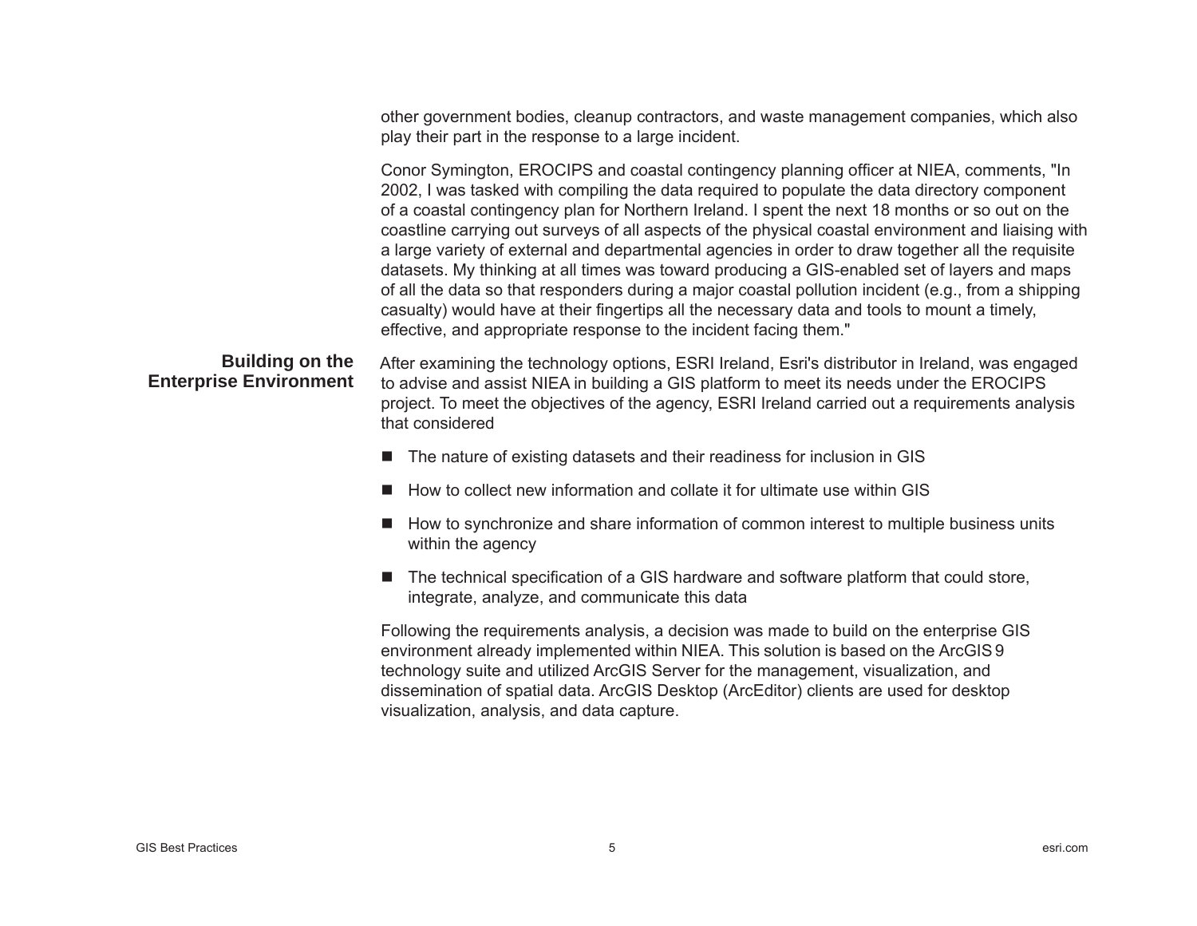other government bodies, cleanup contractors, and waste management companies, which also play their part in the response to a large incident.

Conor Symington, EROCIPS and coastal contingency planning officer at NIEA, comments, "In 2002, I was tasked with compiling the data required to populate the data directory component of a coastal contingency plan for Northern Ireland. I spent the next 18 months or so out on the coastline carrying out surveys of all aspects of the physical coastal environment and liaising with a large variety of external and departmental agencies in order to draw together all the requisite datasets. My thinking at all times was toward producing a GIS-enabled set of layers and maps of all the data so that responders during a major coastal pollution incident (e.g., from a shipping casualty) would have at their fingertips all the necessary data and tools to mount a timely, effective, and appropriate response to the incident facing them."

### **Building on the Enterprise Environment**

After examining the technology options, ESRI Ireland, Esri's distributor in Ireland, was engaged to advise and assist NIEA in building a GIS platform to meet its needs under the EROCIPS project. To meet the objectives of the agency, ESRI Ireland carried out a requirements analysis that considered

- The nature of existing datasets and their readiness for inclusion in GIS
- How to collect new information and collate it for ultimate use within GIS
- $\blacksquare$  How to synchronize and share information of common interest to multiple business units within the agency
- The technical specification of a GIS hardware and software platform that could store, integrate, analyze, and communicate this data

Following the requirements analysis, a decision was made to build on the enterprise GIS environment already implemented within NIEA. This solution is based on the ArcGIS9 technology suite and utilized ArcGIS Server for the management, visualization, and dissemination of spatial data. ArcGIS Desktop (ArcEditor) clients are used for desktop visualization, analysis, and data capture.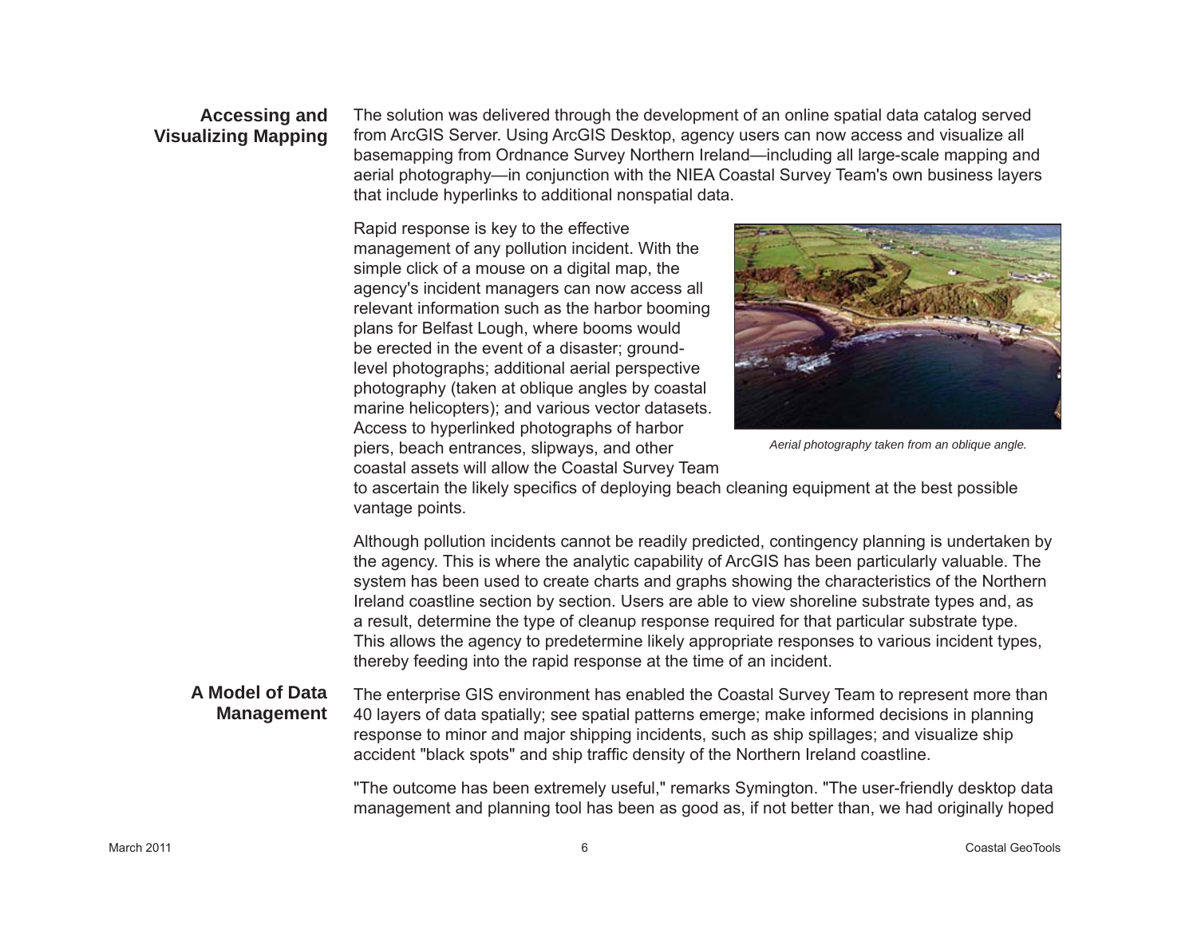### **Accessing and Visualizing Mapping**

The solution was delivered through the development of an online spatial data catalog served from ArcGIS Server. Using ArcGIS Desktop, agency users can now access and visualize all basemapping from Ordnance Survey Northern Ireland—including all large-scale mapping and aerial photography—in conjunction with the NIEA Coastal Survey Team's own business layers that include hyperlinks to additional nonspatial data.

Rapid response is key to the effective management of any pollution incident. With the simple click of a mouse on a digital map, the agency's incident managers can now access all relevant information such as the harbor booming plans for Belfast Lough, where booms would be erected in the event of a disaster; groundlevel photographs; additional aerial perspective photography (taken at oblique angles by coastal marine helicopters); and various vector datasets. Access to hyperlinked photographs of harbor piers, beach entrances, slipways, and other coastal assets will allow the Coastal Survey Team



*Aerial photography taken from an oblique angle.* 

to ascertain the likely specifics of deploying beach cleaning equipment at the best possible vantage points.

Although pollution incidents cannot be readily predicted, contingency planning is undertaken by the agency. This is where the analytic capability of ArcGIS has been particularly valuable. The system has been used to create charts and graphs showing the characteristics of the Northern Ireland coastline section by section. Users are able to view shoreline substrate types and, as a result, determine the type of cleanup response required for that particular substrate type. This allows the agency to predetermine likely appropriate responses to various incident types, thereby feeding into the rapid response at the time of an incident.

#### **A Model of Data Management**

The enterprise GIS environment has enabled the Coastal Survey Team to represent more than 40 layers of data spatially; see spatial patterns emerge; make informed decisions in planning response to minor and major shipping incidents, such as ship spillages; and visualize ship accident "black spots" and ship traffic density of the Northern Ireland coastline.

"The outcome has been extremely useful," remarks Symington. "The user-friendly desktop data management and planning tool has been as good as, if not better than, we had originally hoped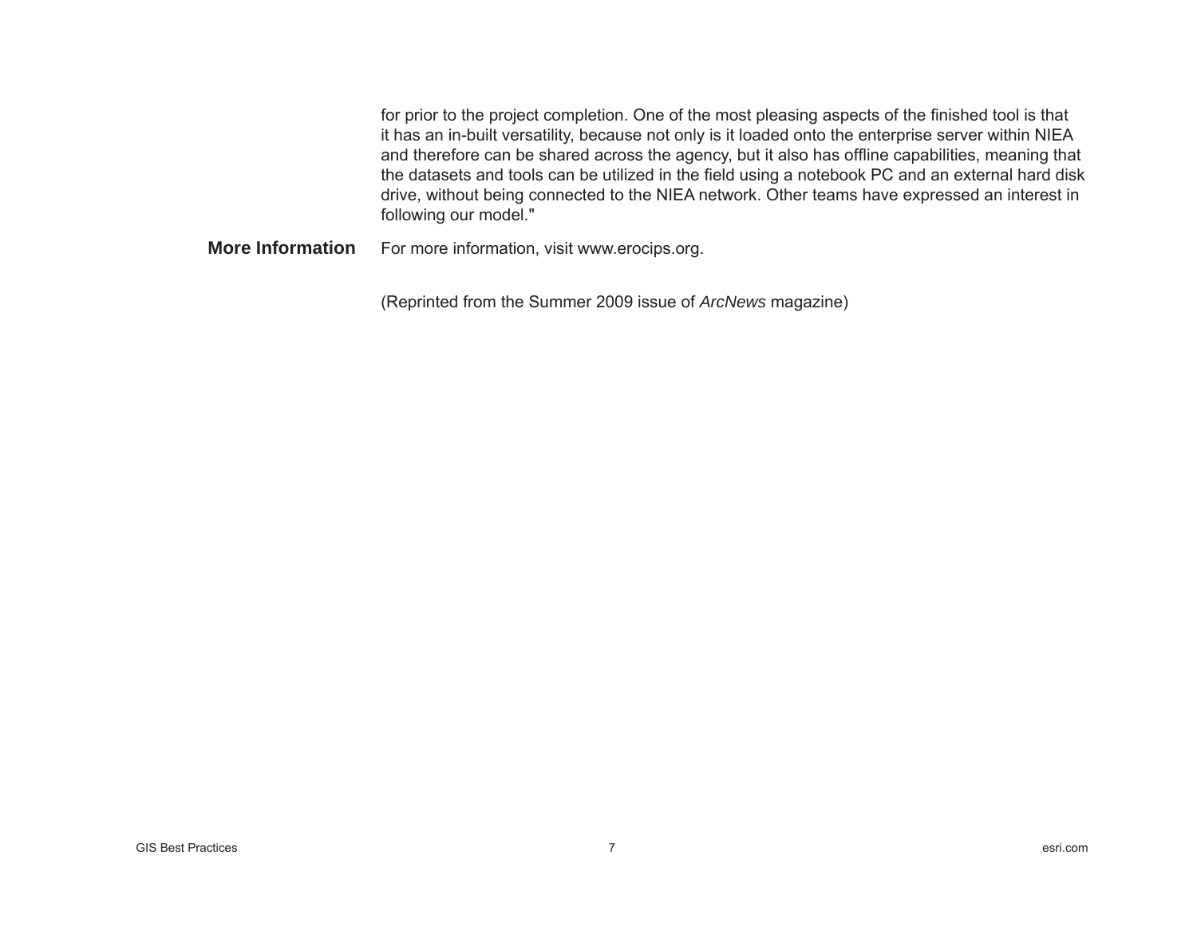for prior to the project completion. One of the most pleasing aspects of the finished tool is that it has an in-built versatility, because not only is it loaded onto the enterprise server within NIEA and therefore can be shared across the agency, but it also has offline capabilities, meaning that the datasets and tools can be utilized in the field using a notebook PC and an external hard disk drive, without being connected to the NIEA network. Other teams have expressed an interest in following our model."

For more information, visit www.erocips.org. **More Information**

(Reprinted from the Summer 2009 issue of *ArcNews* magazine)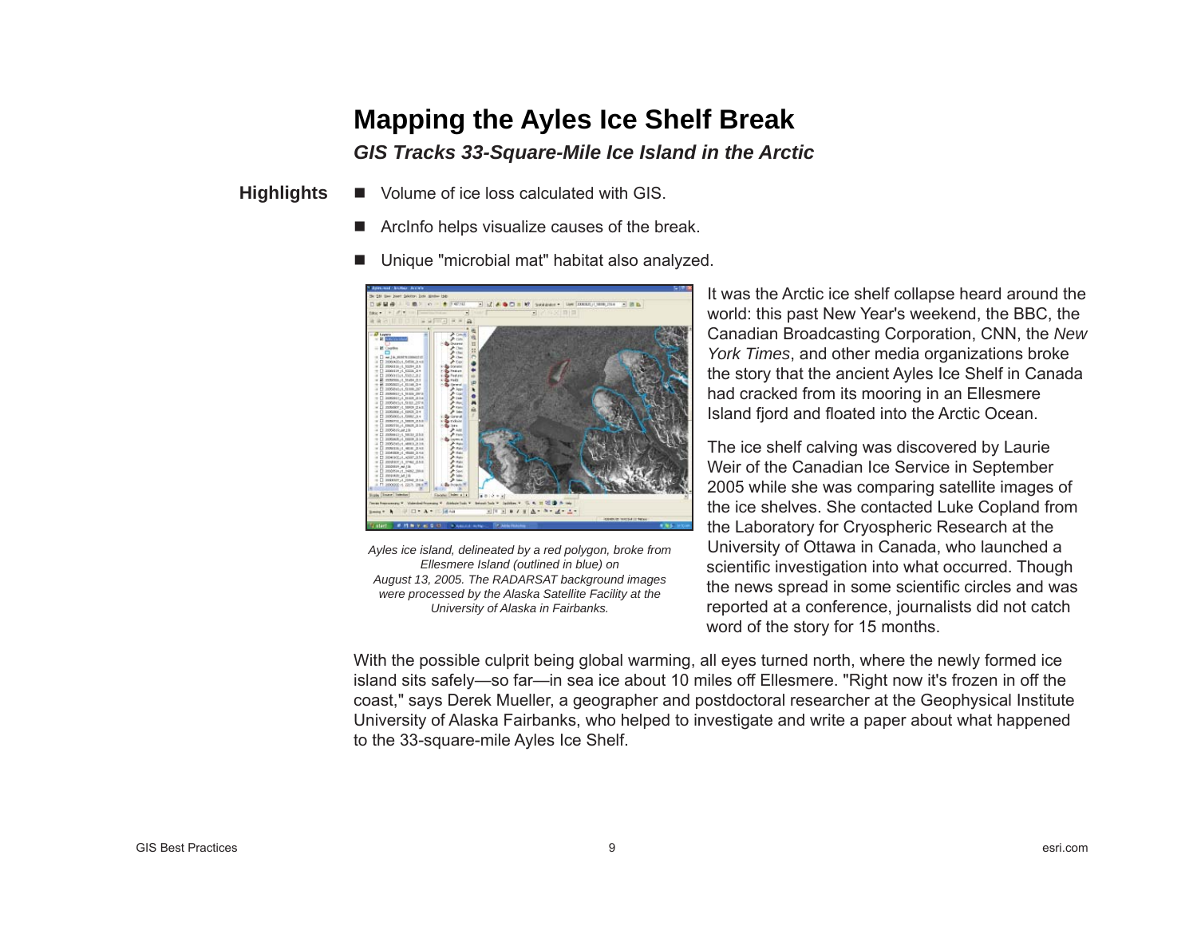## **Mapping the Ayles Ice Shelf Break**

### *GIS Tracks 33-Square-Mile Ice Island in the Arctic*

- Г Volume of ice loss calculated with GIS. **Highlights**
	- **College** ArcInfo helps visualize causes of the break.
	- Г Unique "microbial mat" habitat also analyzed.



*Ayles ice island, delineated by a red polygon, broke from Ellesmere Island (outlined in blue) on August 13, 2005. The RADARSAT background images were processed by the Alaska Satellite Facility at the University of Alaska in Fairbanks.*

It was the Arctic ice shelf collapse heard around the world: this past New Year's weekend, the BBC, the Canadian Broadcasting Corporation, CNN, the *New York Times*, and other media organizations broke the story that the ancient Ayles Ice Shelf in Canada had cracked from its mooring in an Ellesmere Island fjord and floated into the Arctic Ocean.

The ice shelf calving was discovered by Laurie Weir of the Canadian Ice Service in September 2005 while she was comparing satellite images of the ice shelves. She contacted Luke Copland from the Laboratory for Cryospheric Research at the University of Ottawa in Canada, who launched a scientific investigation into what occurred. Though the news spread in some scientific circles and was reported at a conference, journalists did not catch word of the story for 15 months.

With the possible culprit being global warming, all eyes turned north, where the newly formed ice island sits safely—so far—in sea ice about 10 miles off Ellesmere. "Right now it's frozen in off the coast," says Derek Mueller, a geographer and postdoctoral researcher at the Geophysical Institute University of Alaska Fairbanks, who helped to investigate and write a paper about what happened to the 33-square-mile Ayles Ice Shelf.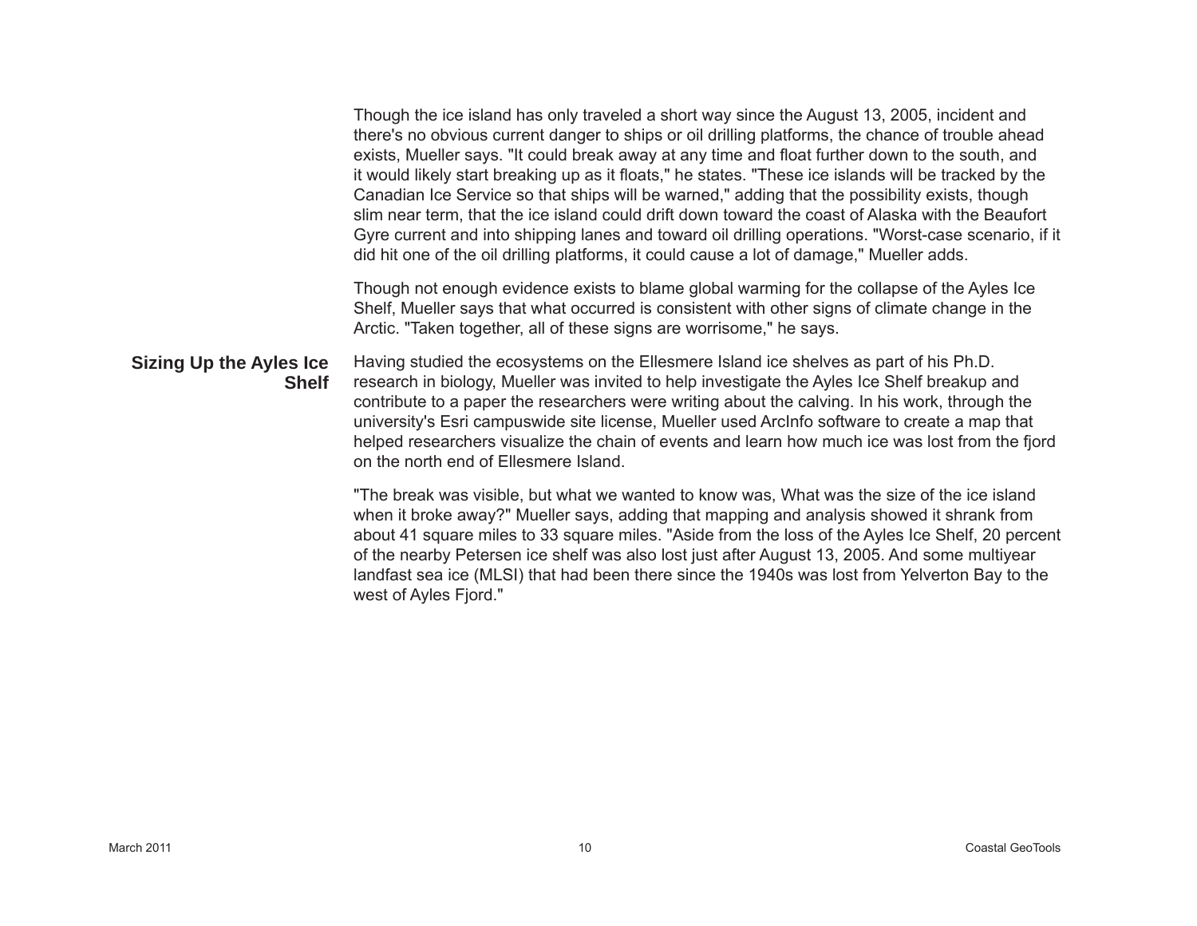Though the ice island has only traveled a short way since the August 13, 2005, incident and there's no obvious current danger to ships or oil drilling platforms, the chance of trouble ahead exists, Mueller says. "It could break away at any time and float further down to the south, and it would likely start breaking up as it floats," he states. "These ice islands will be tracked by the Canadian Ice Service so that ships will be warned," adding that the possibility exists, though slim near term, that the ice island could drift down toward the coast of Alaska with the Beaufort Gyre current and into shipping lanes and toward oil drilling operations. "Worst-case scenario, if it did hit one of the oil drilling platforms, it could cause a lot of damage," Mueller adds. Though not enough evidence exists to blame global warming for the collapse of the Ayles Ice Shelf, Mueller says that what occurred is consistent with other signs of climate change in the Arctic. "Taken together, all of these signs are worrisome," he says. Having studied the ecosystems on the Ellesmere Island ice shelves as part of his Ph.D. research in biology, Mueller was invited to help investigate the Ayles Ice Shelf breakup and contribute to a paper the researchers were writing about the calving. In his work, through the university's Esri campuswide site license, Mueller used ArcInfo software to create a map that helped researchers visualize the chain of events and learn how much ice was lost from the fjord on the north end of Ellesmere Island."The break was visible, but what we wanted to know was, What was the size of the ice island when it broke away?" Mueller says, adding that mapping and analysis showed it shrank from **Sizing Up the Ayles Ice Shelf**

about 41 square miles to 33 square miles. "Aside from the loss of the Ayles Ice Shelf, 20 percent of the nearby Petersen ice shelf was also lost just after August 13, 2005. And some multiyear landfast sea ice (MLSI) that had been there since the 1940s was lost from Yelverton Bay to the west of Ayles Fjord."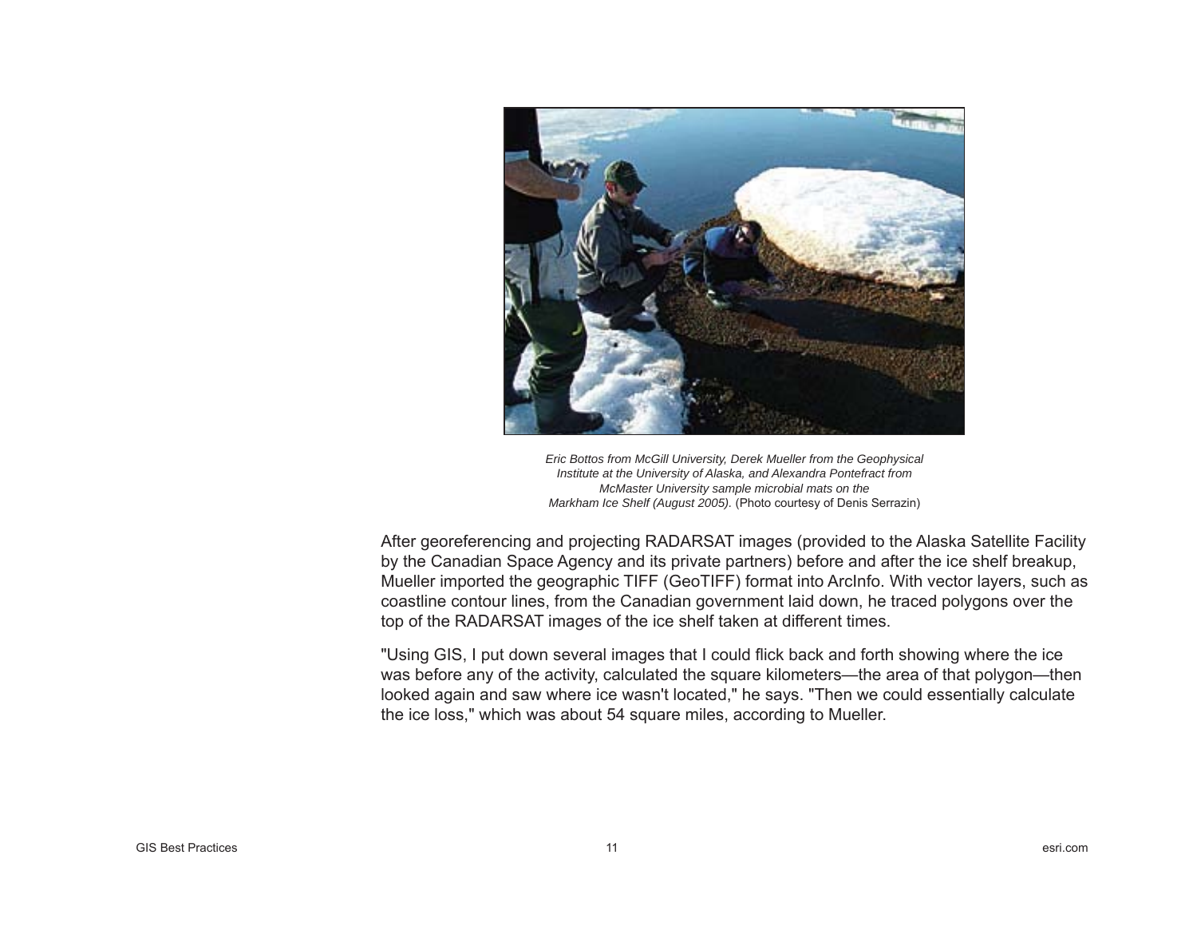

*Eric Bottos from McGill University, Derek Mueller from the Geophysical Institute at the University of Alaska, and Alexandra Pontefract from McMaster University sample microbial mats on the Markham Ice Shelf (August 2005).* (Photo courtesy of Denis Serrazin)

After georeferencing and projecting RADARSAT images (provided to the Alaska Satellite Facility by the Canadian Space Agency and its private partners) before and after the ice shelf breakup, Mueller imported the geographic TIFF (GeoTIFF) format into ArcInfo. With vector layers, such as coastline contour lines, from the Canadian government laid down, he traced polygons over the top of the RADARSAT images of the ice shelf taken at different times.

"Using GIS, I put down several images that I could flick back and forth showing where the ice was before any of the activity, calculated the square kilometers—the area of that polygon—then looked again and saw where ice wasn't located," he says. "Then we could essentially calculate the ice loss," which was about 54 square miles, according to Mueller.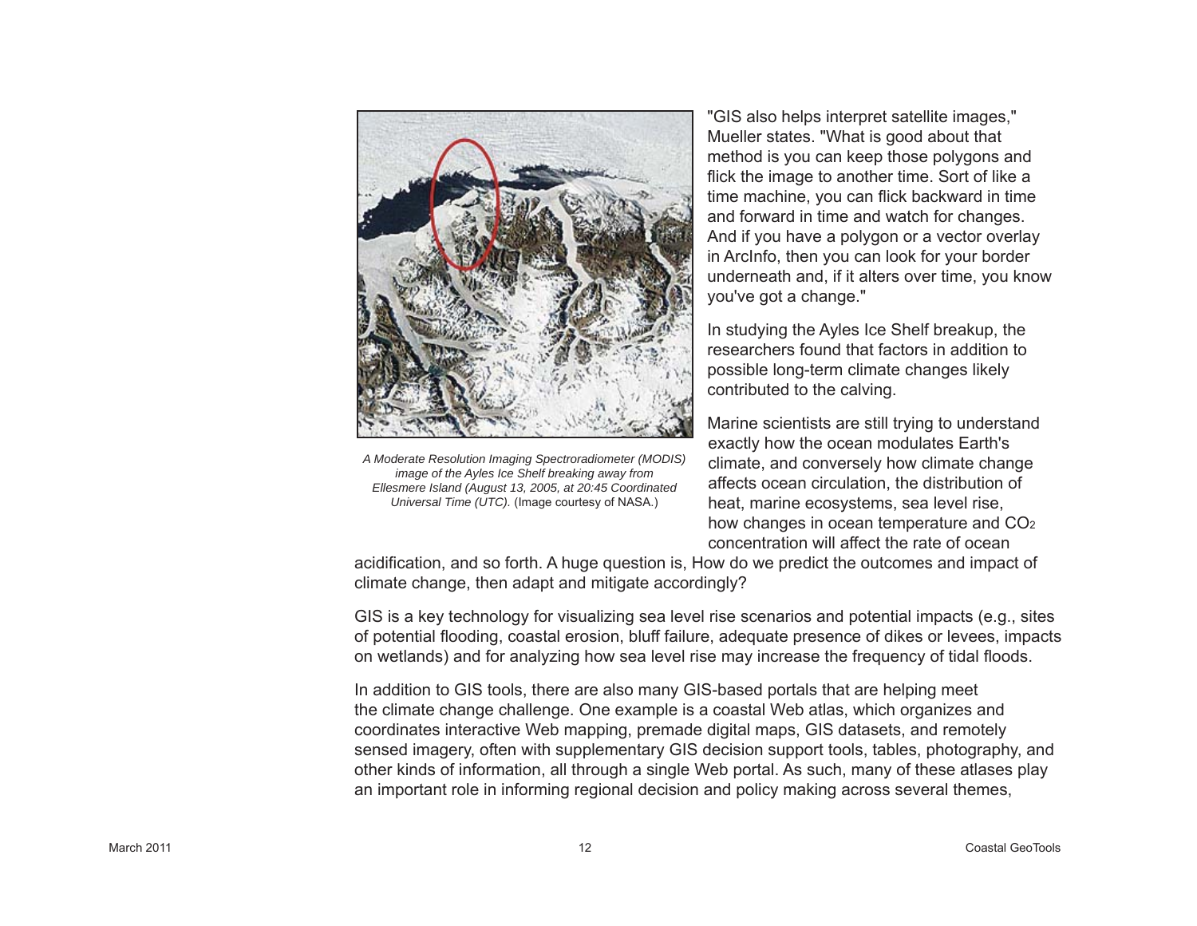

*A Moderate Resolution Imaging Spectroradiometer (MODIS) image of the Ayles Ice Shelf breaking away from Ellesmere Island (August 13, 2005, at 20:45 Coordinated Universal Time (UTC).* (Image courtesy of NASA.)

"GIS also helps interpret satellite images," Mueller states. "What is good about that method is you can keep those polygons and flick the image to another time. Sort of like a time machine, you can flick backward in time and forward in time and watch for changes. And if you have a polygon or a vector overlay in ArcInfo, then you can look for your border underneath and, if it alters over time, you know you've got a change."

In studying the Ayles Ice Shelf breakup, the researchers found that factors in addition to possible long-term climate changes likely contributed to the calving.

Marine scientists are still trying to understand exactly how the ocean modulates Earth's climate, and conversely how climate change affects ocean circulation, the distribution of heat, marine ecosystems, sea level rise, how changes in ocean temperature and CO<sub>2</sub> concentration will affect the rate of ocean

acidification, and so forth. A huge question is, How do we predict the outcomes and impact of climate change, then adapt and mitigate accordingly?

GIS is a key technology for visualizing sea level rise scenarios and potential impacts (e.g., sites of potential flooding, coastal erosion, bluff failure, adequate presence of dikes or levees, impacts on wetlands) and for analyzing how sea level rise may increase the frequency of tidal floods.

In addition to GIS tools, there are also many GIS-based portals that are helping meet the climate change challenge. One example is a coastal Web atlas, which organizes and coordinates interactive Web mapping, premade digital maps, GIS datasets, and remotely sensed imagery, often with supplementary GIS decision support tools, tables, photography, and other kinds of information, all through a single Web portal. As such, many of these atlases play an important role in informing regional decision and policy making across several themes,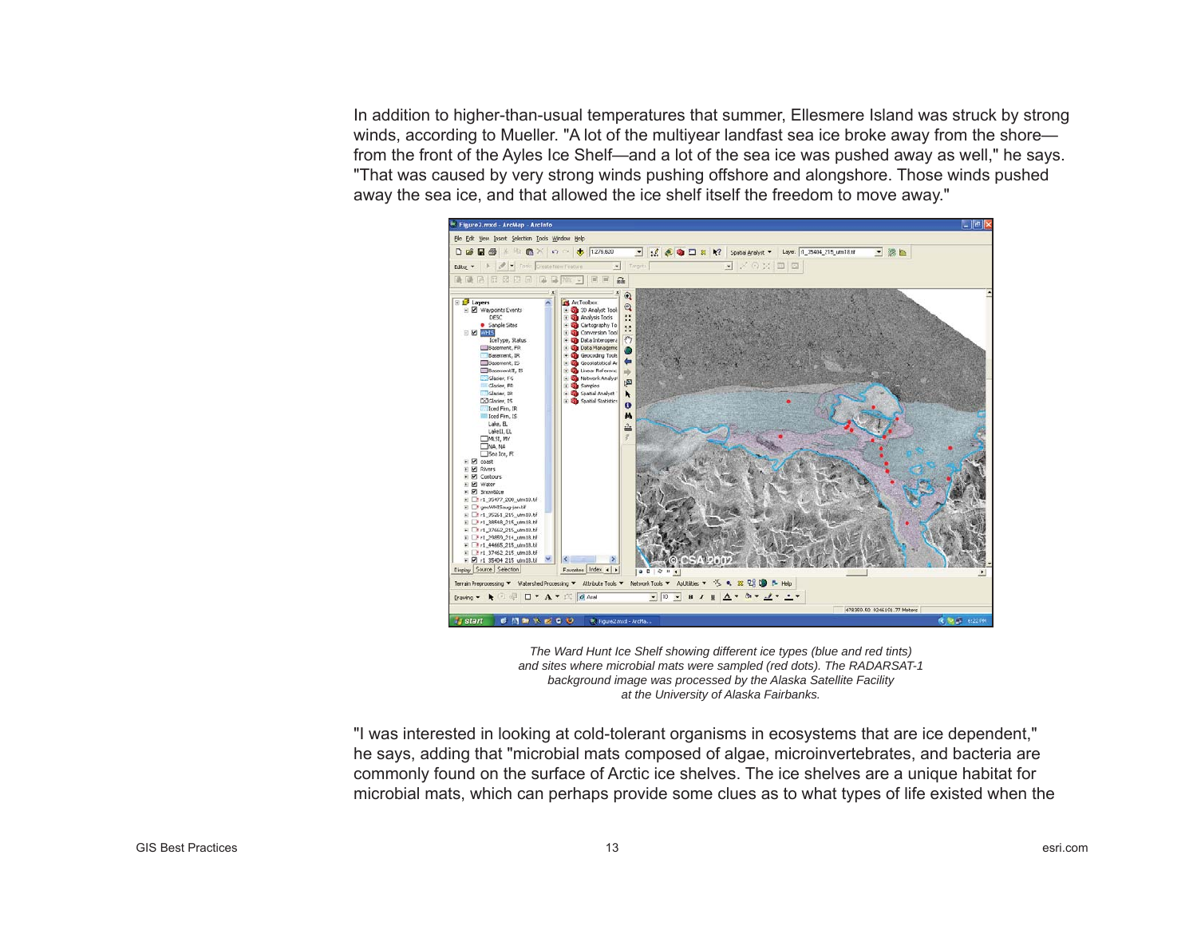In addition to higher-than-usual temperatures that summer, Ellesmere Island was struck by strong winds, according to Mueller. "A lot of the multivear landfast sea ice broke away from the shore from the front of the Ayles Ice Shelf—and a lot of the sea ice was pushed away as well," he says. "That was caused by very strong winds pushing offshore and alongshore. Those winds pushed away the sea ice, and that allowed the ice shelf itself the freedom to move away."



*The Ward Hunt Ice Shelf showing different ice types (blue and red tints) and sites where microbial mats were sampled (red dots). The RADARSAT-1 background image was processed by the Alaska Satellite Facility at the University of Alaska Fairbanks.*

"I was interested in looking at cold-tolerant organisms in ecosystems that are ice dependent," he says, adding that "microbial mats composed of algae, microinvertebrates, and bacteria are commonly found on the surface of Arctic ice shelves. The ice shelves are a unique habitat for microbial mats, which can perhaps provide some clues as to what types of life existed when the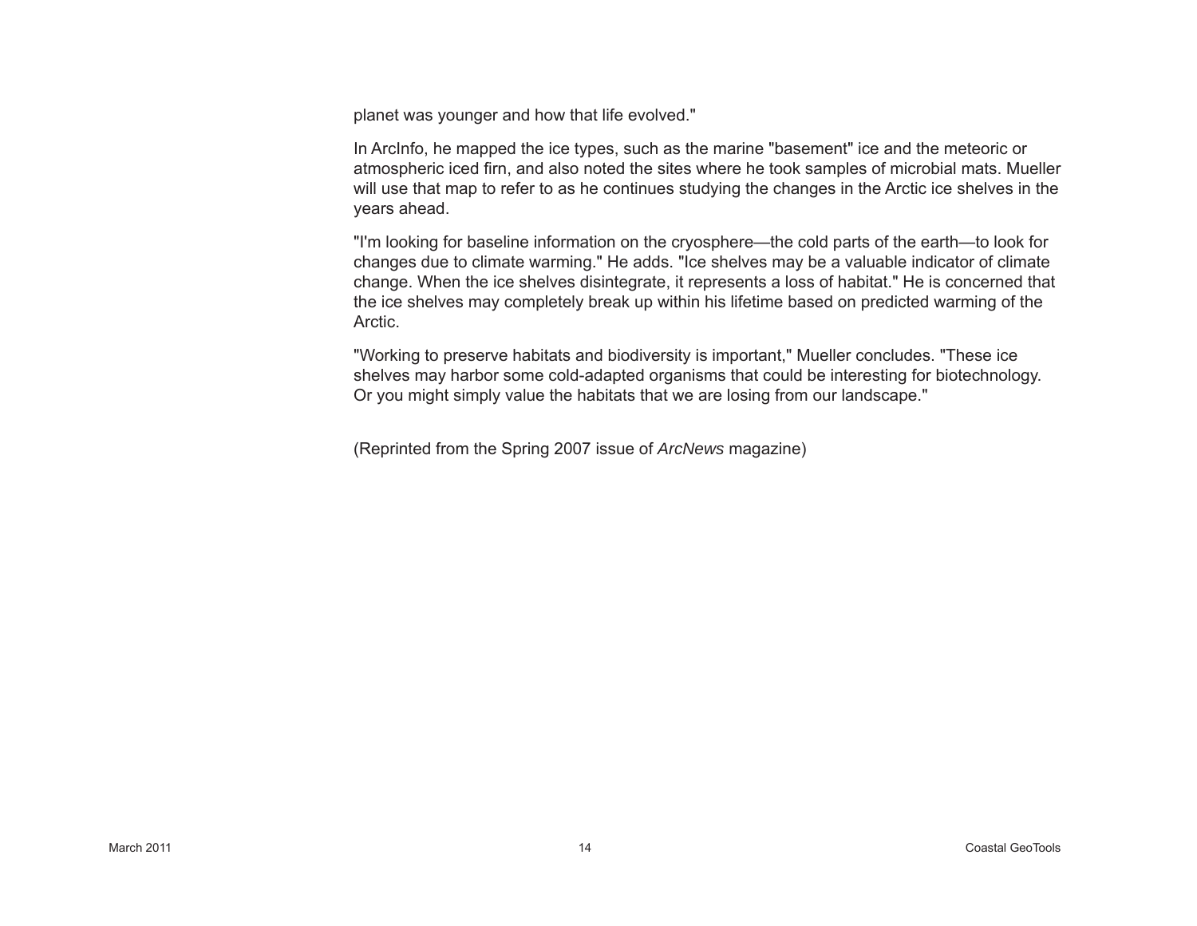planet was younger and how that life evolved."

In ArcInfo, he mapped the ice types, such as the marine "basement" ice and the meteoric or atmospheric iced firn, and also noted the sites where he took samples of microbial mats. Mueller will use that map to refer to as he continues studying the changes in the Arctic ice shelves in the years ahead.

"I'm looking for baseline information on the cryosphere—the cold parts of the earth—to look for changes due to climate warming." He adds. "Ice shelves may be a valuable indicator of climate change. When the ice shelves disintegrate, it represents a loss of habitat." He is concerned that the ice shelves may completely break up within his lifetime based on predicted warming of the Arctic.

"Working to preserve habitats and biodiversity is important," Mueller concludes. "These ice shelves may harbor some cold-adapted organisms that could be interesting for biotechnology. Or you might simply value the habitats that we are losing from our landscape."

(Reprinted from the Spring 2007 issue of *ArcNews* magazine)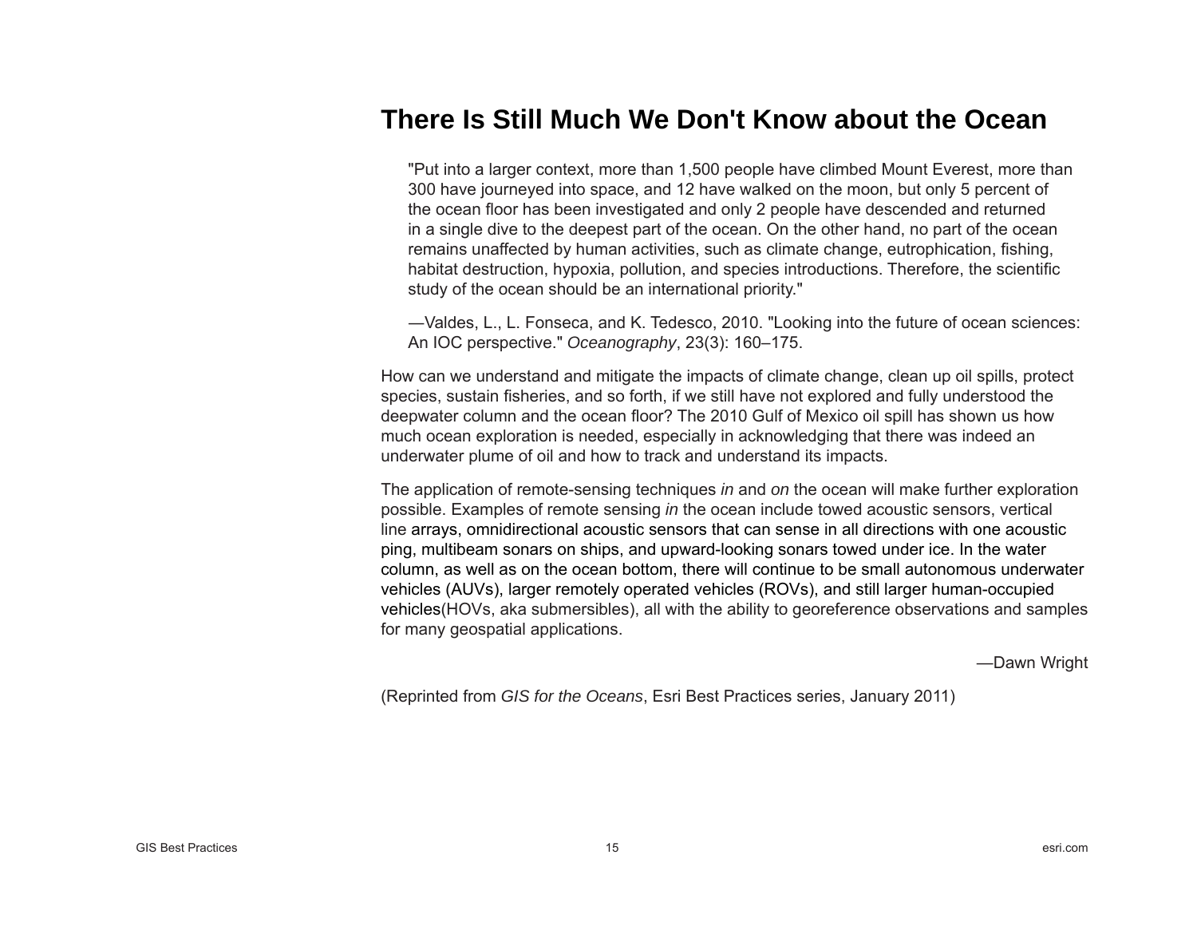### **There Is Still Much We Don't Know about the Ocean**

"Put into a larger context, more than 1,500 people have climbed Mount Everest, more than 300 have journeyed into space, and 12 have walked on the moon, but only 5 percent of the ocean floor has been investigated and only 2 people have descended and returned in a single dive to the deepest part of the ocean. On the other hand, no part of the ocean remains unaffected by human activities, such as climate change, eutrophication, fi shing, habitat destruction, hypoxia, pollution, and species introductions. Therefore, the scienti fi c study of the ocean should be an international priority."

―Valdes, L., L. Fonseca, and K. Tedesco, 2010. "Looking into the future of ocean sciences: An IOC perspective." *Oceanography*, 23(3): 160–175.

How can we understand and mitigate the impacts of climate change, clean up oil spills, protect species, sustain fisheries, and so forth, if we still have not explored and fully understood the deepwater column and the ocean floor? The 2010 Gulf of Mexico oil spill has shown us how much ocean exploration is needed, especially in acknowledging that there was indeed an underwater plume of oil and how to track and understand its impacts.

The application of remote-sensing techniques *in* and *on* the ocean will make further exploration possible. Examples of remote sensing *in* the ocean include towed acoustic sensors, vertical line arrays, omnidirectional acoustic sensors that can sense in all directions with one acoustic ping, multibeam sonars on ships, and upward-looking sonars towed under ice. In the water column, as well as on the ocean bottom, there will continue to be small autonomous underwater vehicles (AUVs), larger remotely operated vehicles (ROVs), and still larger human-occupied vehicles(HOVs, aka submersibles), all with the ability to georeference observations and samples for many geospatial applications.

—Dawn Wright

(Reprinted from *GIS for the Oceans*, Esri Best Practices series, January 2011)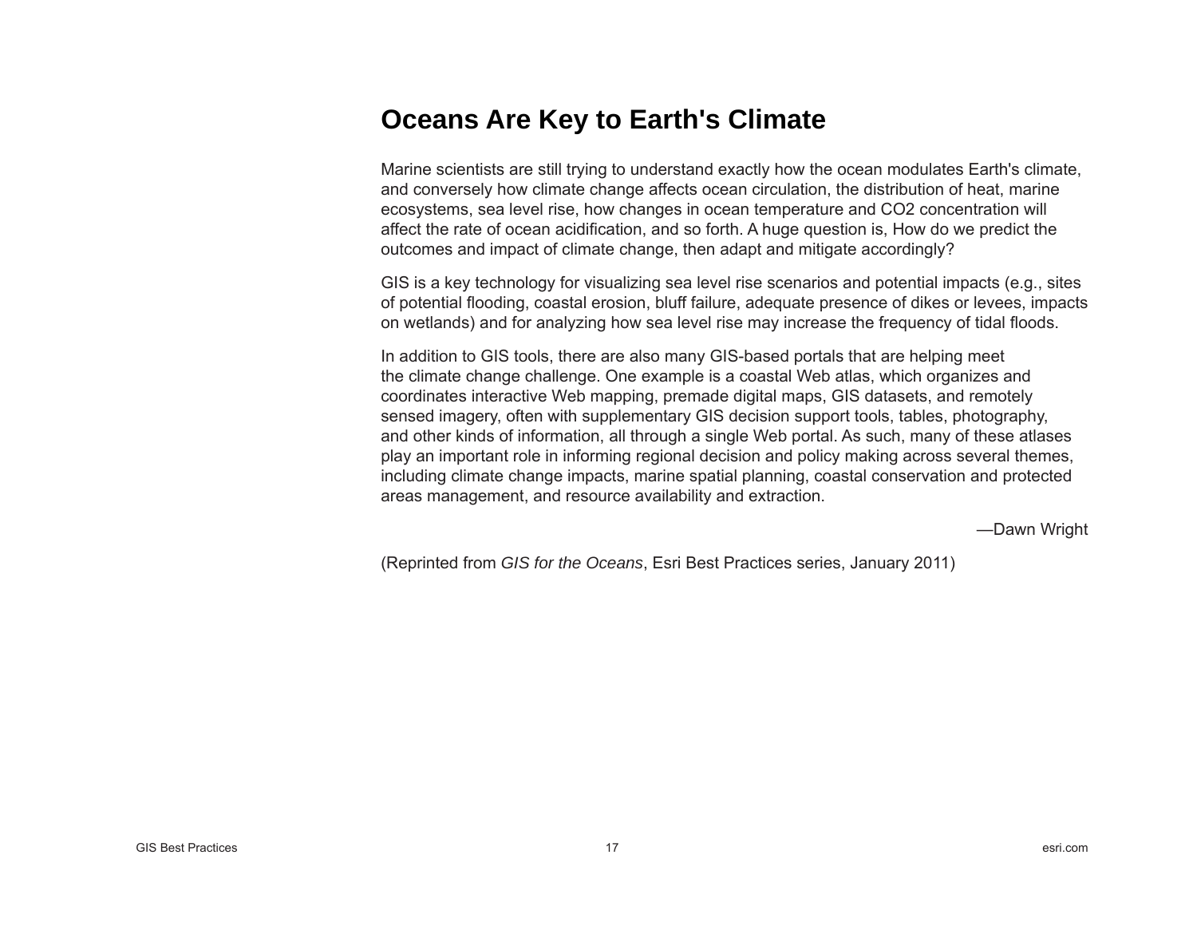## **Oceans Are Key to Earth's Climate**

Marine scientists are still trying to understand exactly how the ocean modulates Earth's climate, and conversely how climate change affects ocean circulation, the distribution of heat, marine ecosystems, sea level rise, how changes in ocean temperature and CO2 concentration will affect the rate of ocean acidification, and so forth. A huge question is, How do we predict the outcomes and impact of climate change, then adapt and mitigate accordingly?

GIS is a key technology for visualizing sea level rise scenarios and potential impacts (e.g., sites of potential fl ooding, coastal erosion, bluff failure, adequate presence of dikes or levees, impacts on wetlands) and for analyzing how sea level rise may increase the frequency of tidal floods.

In addition to GIS tools, there are also many GIS-based portals that are helping meet the climate change challenge. One example is a coastal Web atlas, which organizes and coordinates interactive Web mapping, premade digital maps, GIS datasets, and remotely sensed imagery, often with supplementary GIS decision support tools, tables, photography, and other kinds of information, all through a single Web portal. As such, many of these atlases play an important role in informing regional decision and policy making across several themes, including climate change impacts, marine spatial planning, coastal conservation and protected areas management, and resource availability and extraction.

—Dawn Wright

(Reprinted from *GIS for the Oceans*, Esri Best Practices series, January 2011)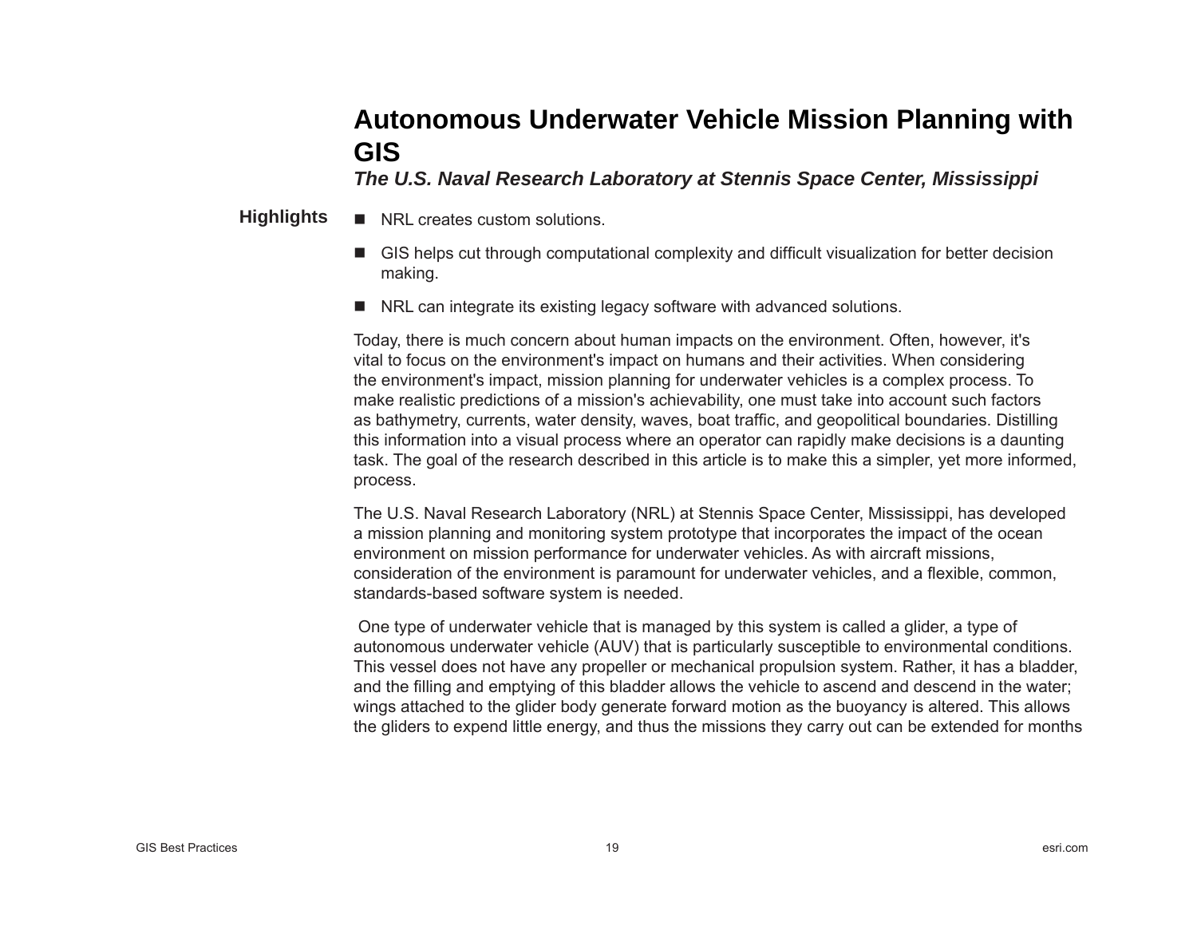## **Autonomous Underwater Vehicle Mission Planning with GIS**

*The U.S. Naval Research Laboratory at Stennis Space Center, Mississippi* 

- NRL creates custom solutions. **Highlights**
	- GIS helps cut through computational complexity and difficult visualization for better decision making.
	- NRL can integrate its existing legacy software with advanced solutions.

Today, there is much concern about human impacts on the environment. Often, however, it's vital to focus on the environment's impact on humans and their activities. When considering the environment's impact, mission planning for underwater vehicles is a complex process. To make realistic predictions of a mission's achievability, one must take into account such factors as bathymetry, currents, water density, waves, boat traffic, and geopolitical boundaries. Distilling this information into a visual process where an operator can rapidly make decisions is a daunting task. The goal of the research described in this article is to make this a simpler, yet more informed, process.

The U.S. Naval Research Laboratory (NRL) at Stennis Space Center, Mississippi, has developed a mission planning and monitoring system prototype that incorporates the impact of the ocean environment on mission performance for underwater vehicles. As with aircraft missions, consideration of the environment is paramount for underwater vehicles, and a flexible, common, standards-based software system is needed.

 One type of underwater vehicle that is managed by this system is called a glider, a type of autonomous underwater vehicle (AUV) that is particularly susceptible to environmental conditions. This vessel does not have any propeller or mechanical propulsion system. Rather, it has a bladder, and the fi lling and emptying of this bladder allows the vehicle to ascend and descend in the water; wings attached to the glider body generate forward motion as the buoyancy is altered. This allows the gliders to expend little energy, and thus the missions they carry out can be extended for months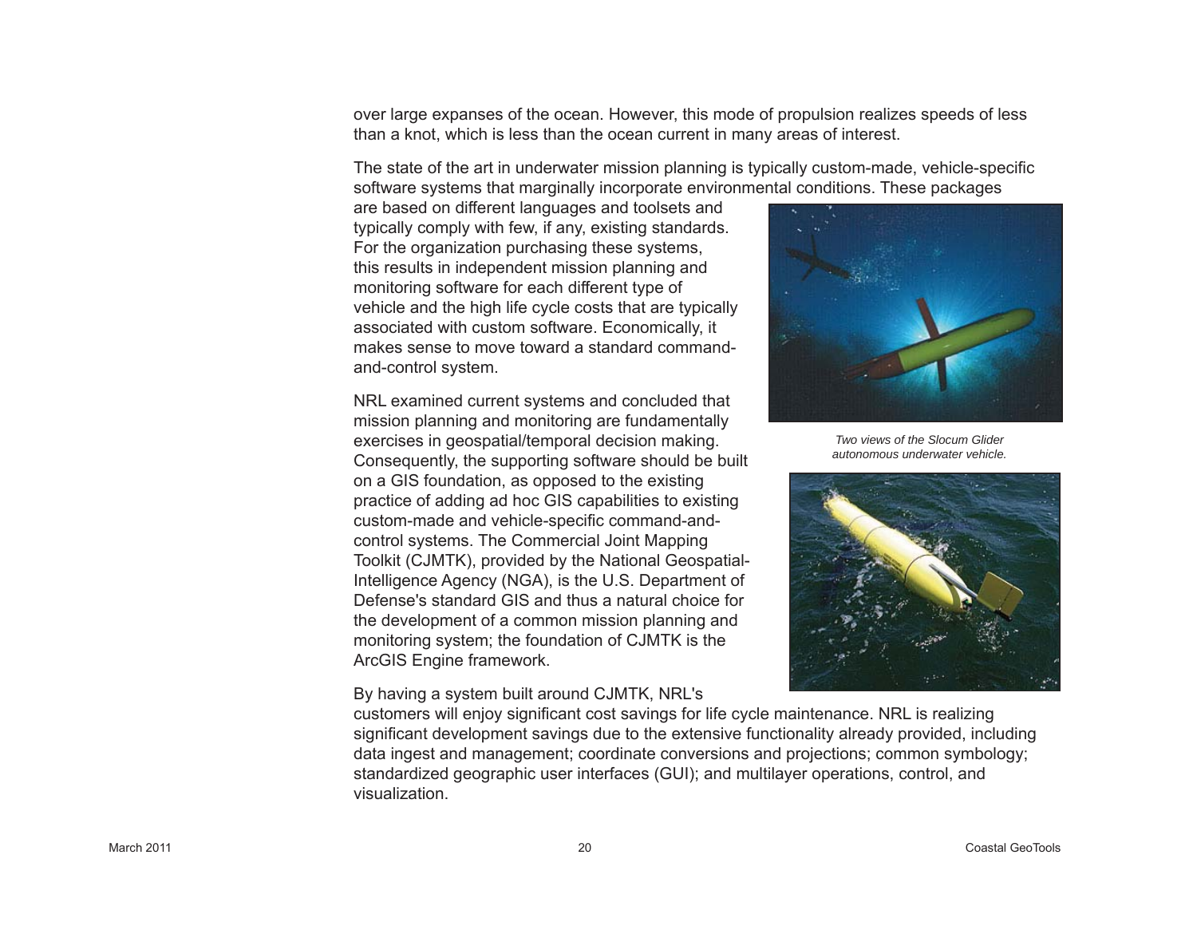over large expanses of the ocean. However, this mode of propulsion realizes speeds of less than a knot, which is less than the ocean current in many areas of interest.

The state of the art in underwater mission planning is typically custom-made, vehicle-speci fi c software systems that marginally incorporate environmental conditions. These packages

are based on different languages and toolsets and typically comply with few, if any, existing standards. For the organization purchasing these systems, this results in independent mission planning and monitoring software for each different type of vehicle and the high life cycle costs that are typically associated with custom software. Economically, it makes sense to move toward a standard commandand-control system.

NRL examined current systems and concluded that mission planning and monitoring are fundamentally exercises in geospatial/temporal decision making. Consequently, the supporting software should be built on a GIS foundation, as opposed to the existing practice of adding ad hoc GIS capabilities to existing custom-made and vehicle-speci fi c command-andcontrol systems. The Commercial Joint Mapping Toolkit (CJMTK), provided by the National Geospatial-Intelligence Agency (NGA), is the U.S. Department of Defense's standard GIS and thus a natural choice for the development of a common mission planning and monitoring system; the foundation of CJMTK is the ArcGIS Engine framework.

By having a system built around CJMTK, NRL's



*Two views of the Slocum Glider autonomous underwater vehicle.*



customers will enjoy signi fi cant cost savings for life cycle maintenance. NRL is realizing signi fi cant development savings due to the extensive functionality already provided, including data ingest and management; coordinate conversions and projections; common symbology; standardized geographic user interfaces (GUI); and multilayer operations, control, and visualization.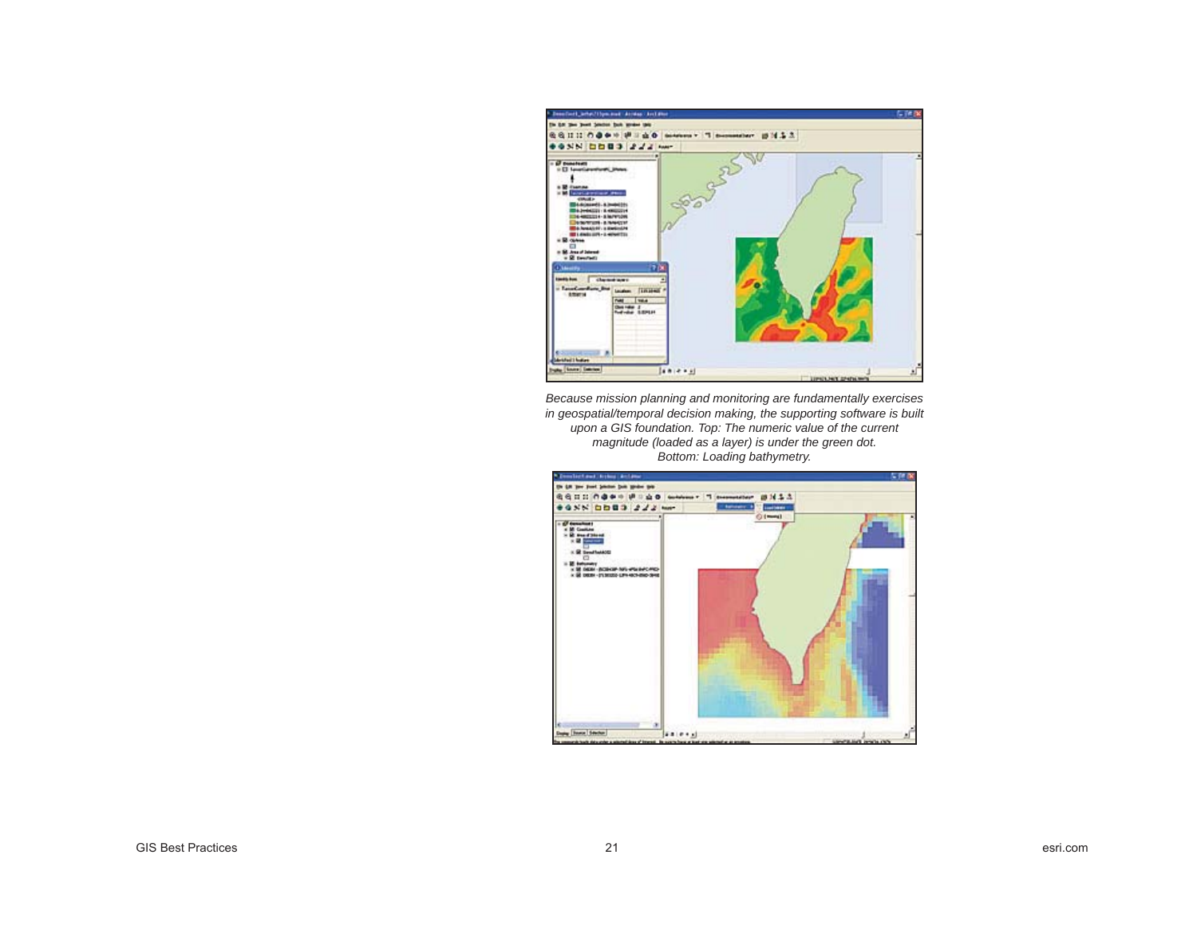

*Because mission planning and monitoring are fundamentally exercises in geospatial/temporal decision making, the supporting software is built upon a GIS foundation. Top: The numeric value of the current magnitude (loaded as a layer) is under the green dot. Bottom: Loading bathymetry.* 

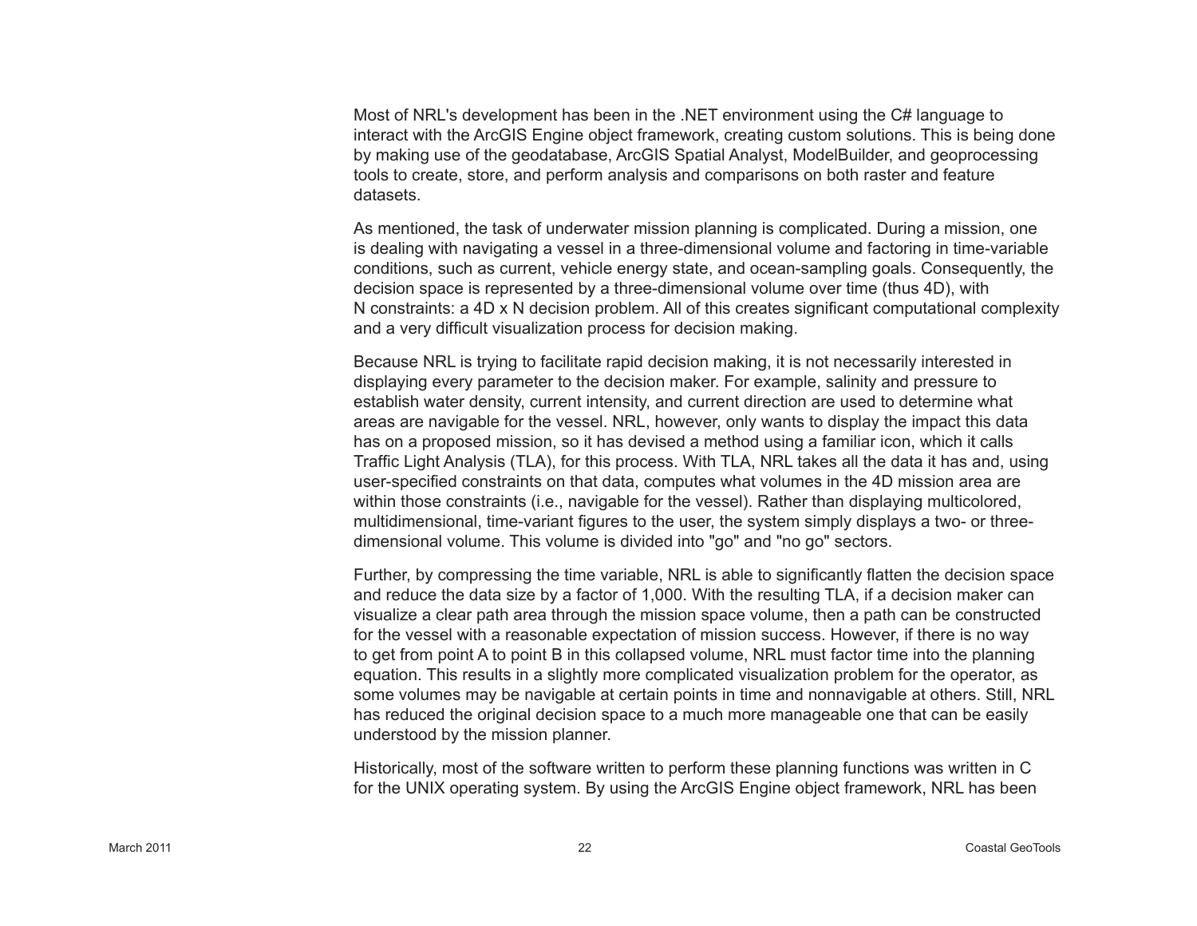Most of NRL's development has been in the .NET environment using the C# language to interact with the ArcGIS Engine object framework, creating custom solutions. This is being done by making use of the geodatabase, ArcGIS Spatial Analyst, ModelBuilder, and geoprocessing tools to create, store, and perform analysis and comparisons on both raster and feature datasets.

As mentioned, the task of underwater mission planning is complicated. During a mission, one is dealing with navigating a vessel in a three-dimensional volume and factoring in time-variable conditions, such as current, vehicle energy state, and ocean-sampling goals. Consequently, the decision space is represented by a three-dimensional volume over time (thus 4D), with N constraints: a 4D x N decision problem. All of this creates significant computational complexity and a very difficult visualization process for decision making.

Because NRL is trying to facilitate rapid decision making, it is not necessarily interested in displaying every parameter to the decision maker. For example, salinity and pressure to establish water density, current intensity, and current direction are used to determine what areas are navigable for the vessel. NRL, however, only wants to display the impact this data has on a proposed mission, so it has devised a method using a familiar icon, which it calls Traffic Light Analysis (TLA), for this process. With TLA, NRL takes all the data it has and, using user-specified constraints on that data, computes what volumes in the 4D mission area are within those constraints (i.e., navigable for the vessel). Rather than displaying multicolored, multidimensional, time-variant figures to the user, the system simply displays a two- or threedimensional volume. This volume is divided into "go" and "no go" sectors.

Further, by compressing the time variable, NRL is able to significantly flatten the decision space and reduce the data size by a factor of 1,000. With the resulting TLA, if a decision maker can visualize a clear path area through the mission space volume, then a path can be constructed for the vessel with a reasonable expectation of mission success. However, if there is no way to get from point A to point B in this collapsed volume, NRL must factor time into the planning equation. This results in a slightly more complicated visualization problem for the operator, as some volumes may be navigable at certain points in time and nonnavigable at others. Still, NRL has reduced the original decision space to a much more manageable one that can be easily understood by the mission planner.

Historically, most of the software written to perform these planning functions was written in C for the UNIX operating system. By using the ArcGIS Engine object framework, NRL has been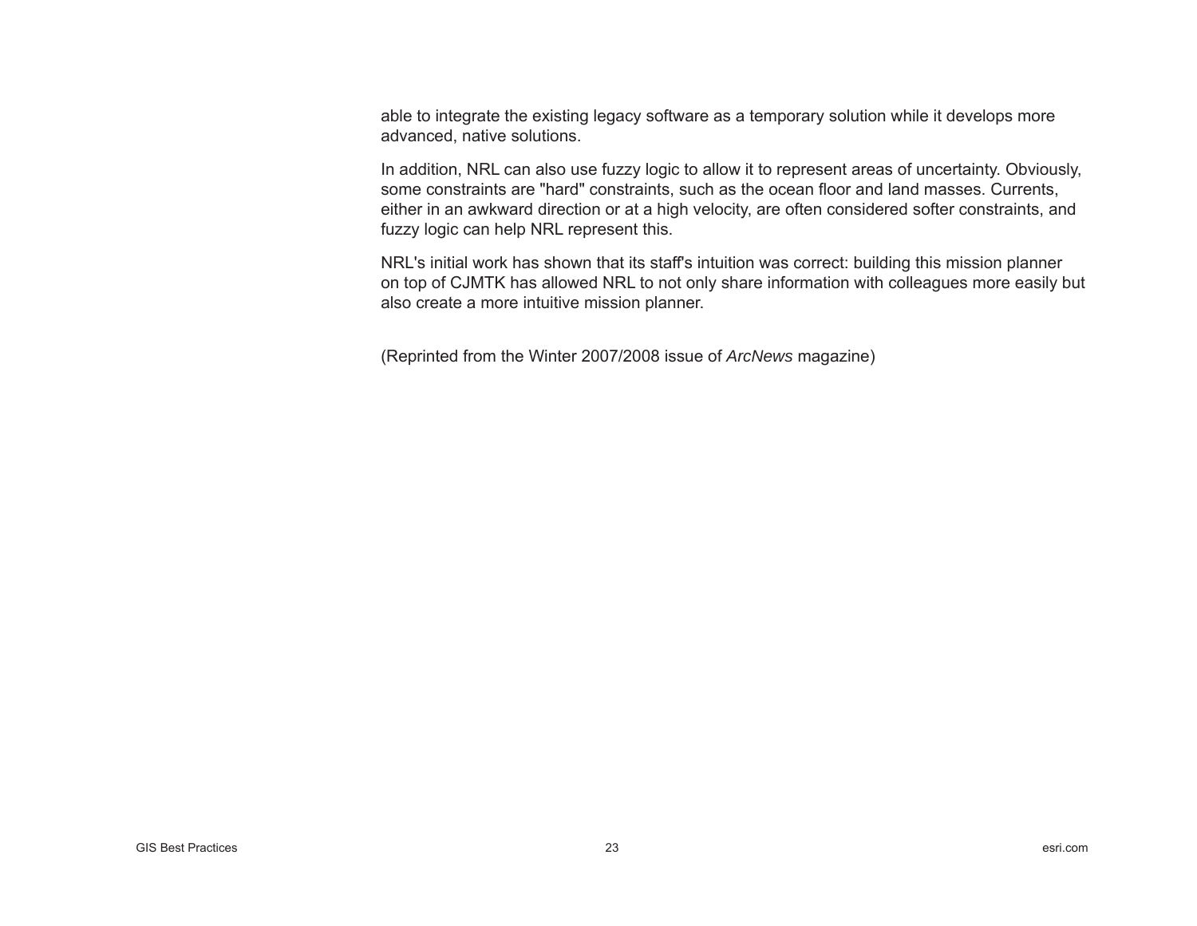able to integrate the existing legacy software as a temporary solution while it develops more advanced, native solutions.

In addition, NRL can also use fuzzy logic to allow it to represent areas of uncertainty. Obviously, some constraints are "hard" constraints, such as the ocean floor and land masses. Currents, either in an awkward direction or at a high velocity, are often considered softer constraints, and fuzzy logic can help NRL represent this.

NRL's initial work has shown that its staff's intuition was correct: building this mission planner on top of CJMTK has allowed NRL to not only share information with colleagues more easily but also create a more intuitive mission planner.

(Reprinted from the Winter 2007/2008 issue of *ArcNews* magazine)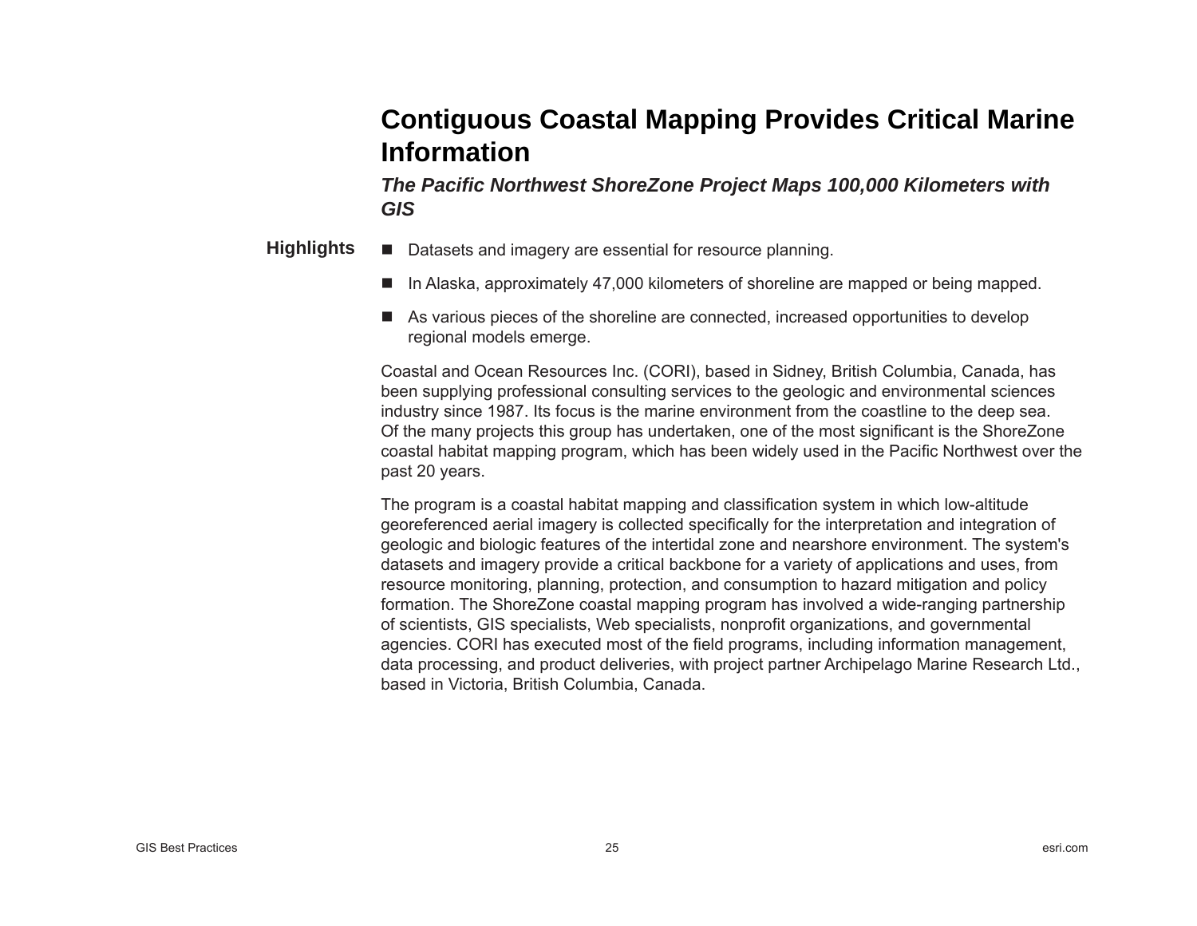## **Contiguous Coastal Mapping Provides Critical Marine Information**

*The Paci fi c Northwest ShoreZone Project Maps 100,000 Kilometers with GIS*

- Datasets and imagery are essential for resource planning. **Highlights**
	- In Alaska, approximately 47,000 kilometers of shoreline are mapped or being mapped.
	- As various pieces of the shoreline are connected, increased opportunities to develop regional models emerge.

Coastal and Ocean Resources Inc. (CORI), based in Sidney, British Columbia, Canada, has been supplying professional consulting services to the geologic and environmental sciences industry since 1987. Its focus is the marine environment from the coastline to the deep sea. Of the many projects this group has undertaken, one of the most significant is the ShoreZone coastal habitat mapping program, which has been widely used in the Paci fi c Northwest over the past 20 years.

The program is a coastal habitat mapping and classification system in which low-altitude georeferenced aerial imagery is collected specifically for the interpretation and integration of geologic and biologic features of the intertidal zone and nearshore environment. The system's datasets and imagery provide a critical backbone for a variety of applications and uses, from resource monitoring, planning, protection, and consumption to hazard mitigation and policy formation. The ShoreZone coastal mapping program has involved a wide-ranging partnership of scientists, GIS specialists, Web specialists, nonprofit organizations, and governmental agencies. CORI has executed most of the field programs, including information management, data processing, and product deliveries, with project partner Archipelago Marine Research Ltd., based in Victoria, British Columbia, Canada.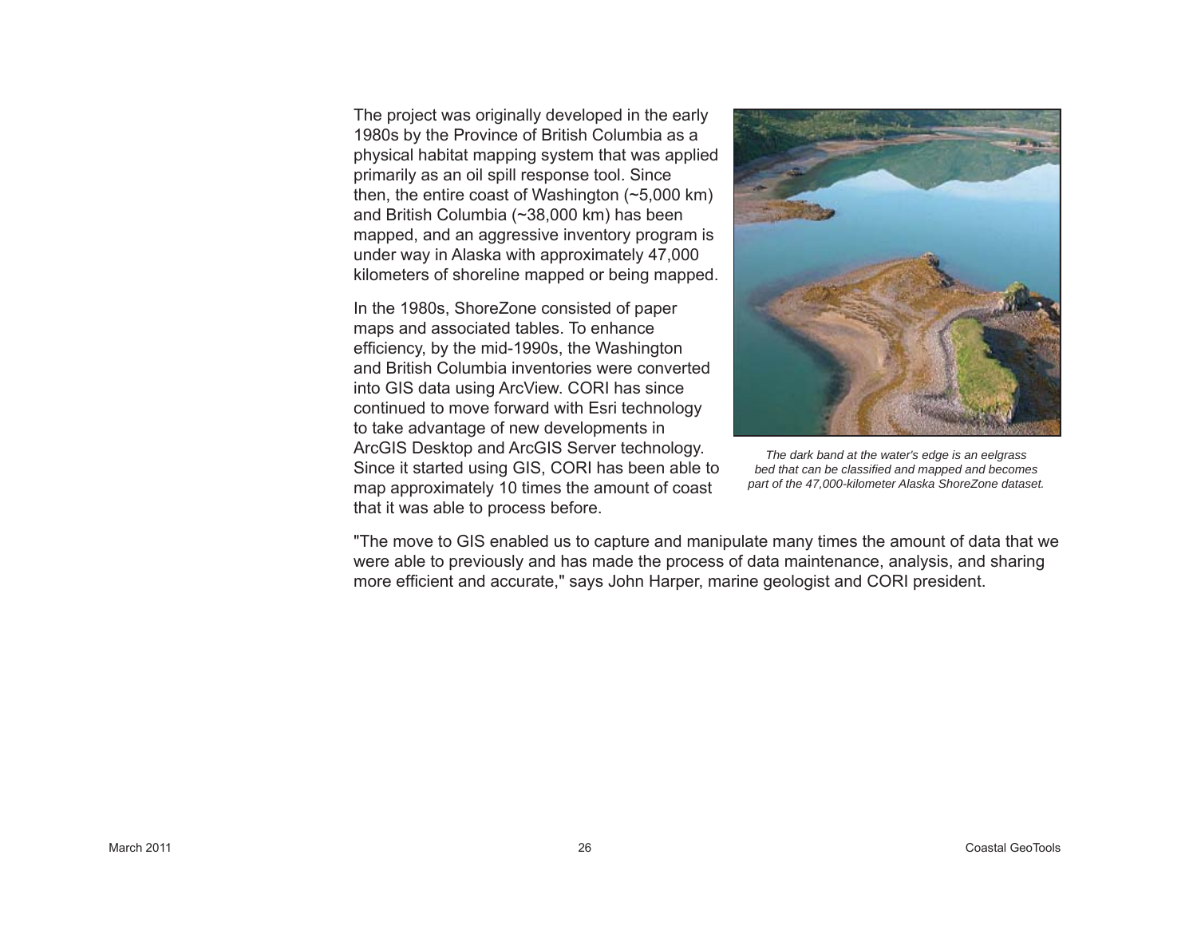The project was originally developed in the early 1980s by the Province of British Columbia as a physical habitat mapping system that was applied primarily as an oil spill response tool. Since then, the entire coast of Washington (~5,000 km) and British Columbia (~38,000 km) has been mapped, and an aggressive inventory program is under way in Alaska with approximately 47,000 kilometers of shoreline mapped or being mapped.

In the 1980s, ShoreZone consisted of paper maps and associated tables. To enhance efficiency, by the mid-1990s, the Washington and British Columbia inventories were converted into GIS data using ArcView. CORI has since continued to move forward with Esri technology to take advantage of new developments in ArcGIS Desktop and ArcGIS Server technology. Since it started using GIS, CORI has been able to map approximately 10 times the amount of coast that it was able to process before.



*The dark band at the water's edge is an eelgrass bed that can be classifi ed and mapped and becomes part of the 47,000-kilometer Alaska ShoreZone dataset.*

"The move to GIS enabled us to capture and manipulate many times the amount of data that we were able to previously and has made the process of data maintenance, analysis, and sharing more efficient and accurate," says John Harper, marine geologist and CORI president.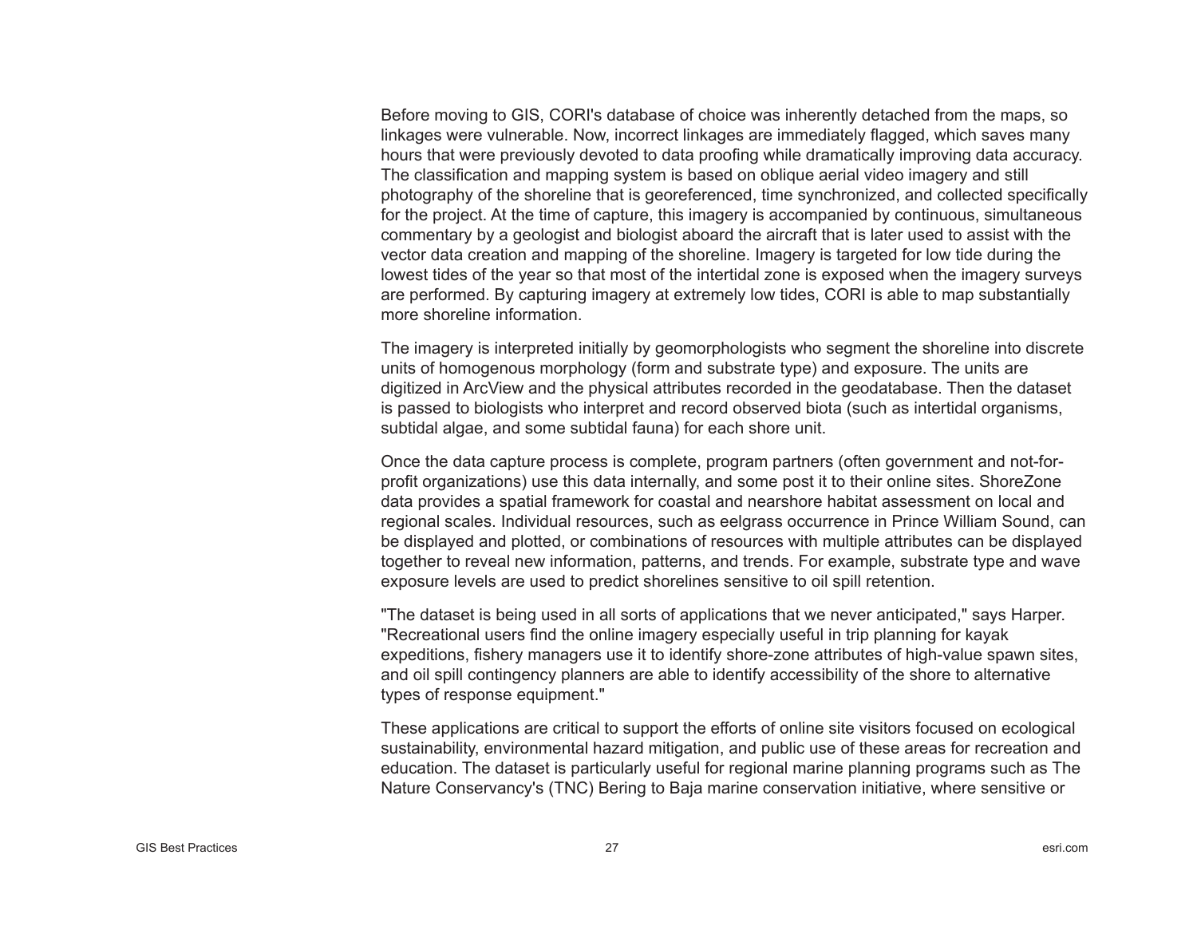Before moving to GIS, CORI's database of choice was inherently detached from the maps, so linkages were vulnerable. Now, incorrect linkages are immediately flagged, which saves many hours that were previously devoted to data proofing while dramatically improving data accuracy. The classification and mapping system is based on oblique aerial video imagery and still photography of the shoreline that is georeferenced, time synchronized, and collected specifically for the project. At the time of capture, this imagery is accompanied by continuous, simultaneous commentary by a geologist and biologist aboard the aircraft that is later used to assist with the vector data creation and mapping of the shoreline. Imagery is targeted for low tide during the lowest tides of the year so that most of the intertidal zone is exposed when the imagery surveys are performed. By capturing imagery at extremely low tides, CORI is able to map substantially more shoreline information.

The imagery is interpreted initially by geomorphologists who segment the shoreline into discrete units of homogenous morphology (form and substrate type) and exposure. The units are digitized in ArcView and the physical attributes recorded in the geodatabase. Then the dataset is passed to biologists who interpret and record observed biota (such as intertidal organisms, subtidal algae, and some subtidal fauna) for each shore unit.

Once the data capture process is complete, program partners (often government and not-forprofit organizations) use this data internally, and some post it to their online sites. ShoreZone data provides a spatial framework for coastal and nearshore habitat assessment on local and regional scales. Individual resources, such as eelgrass occurrence in Prince William Sound, can be displayed and plotted, or combinations of resources with multiple attributes can be displayed together to reveal new information, patterns, and trends. For example, substrate type and wave exposure levels are used to predict shorelines sensitive to oil spill retention.

"The dataset is being used in all sorts of applications that we never anticipated," says Harper. "Recreational users find the online imagery especially useful in trip planning for kayak expeditions, fishery managers use it to identify shore-zone attributes of high-value spawn sites, and oil spill contingency planners are able to identify accessibility of the shore to alternative types of response equipment."

These applications are critical to support the efforts of online site visitors focused on ecological sustainability, environmental hazard mitigation, and public use of these areas for recreation and education. The dataset is particularly useful for regional marine planning programs such as The Nature Conservancy's (TNC) Bering to Baja marine conservation initiative, where sensitive or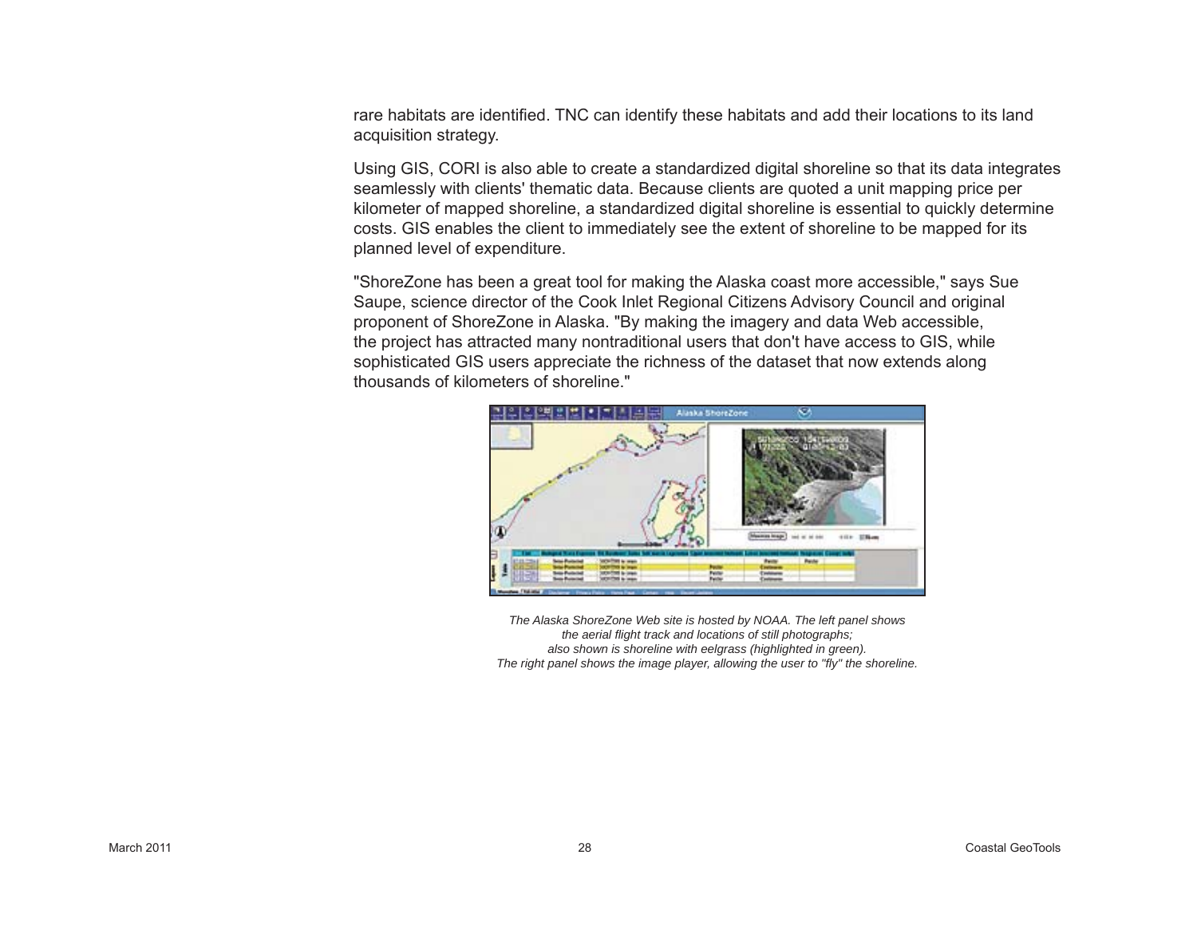rare habitats are identified. TNC can identify these habitats and add their locations to its land acquisition strategy.

Using GIS, CORI is also able to create a standardized digital shoreline so that its data integrates seamlessly with clients' thematic data. Because clients are quoted a unit mapping price per kilometer of mapped shoreline, a standardized digital shoreline is essential to quickly determine costs. GIS enables the client to immediately see the extent of shoreline to be mapped for its planned level of expenditure.

"ShoreZone has been a great tool for making the Alaska coast more accessible," says Sue Saupe, science director of the Cook Inlet Regional Citizens Advisory Council and original proponent of ShoreZone in Alaska. "By making the imagery and data Web accessible, the project has attracted many nontraditional users that don't have access to GIS, while sophisticated GIS users appreciate the richness of the dataset that now extends along thousands of kilometers of shoreline."



*The Alaska ShoreZone Web site is hosted by NOAA. The left panel shows the aerial fl ight track and locations of still photographs; also shown is shoreline with eelgrass (highlighted in green). The right panel shows the image player, allowing the user to "fl y" the shoreline.*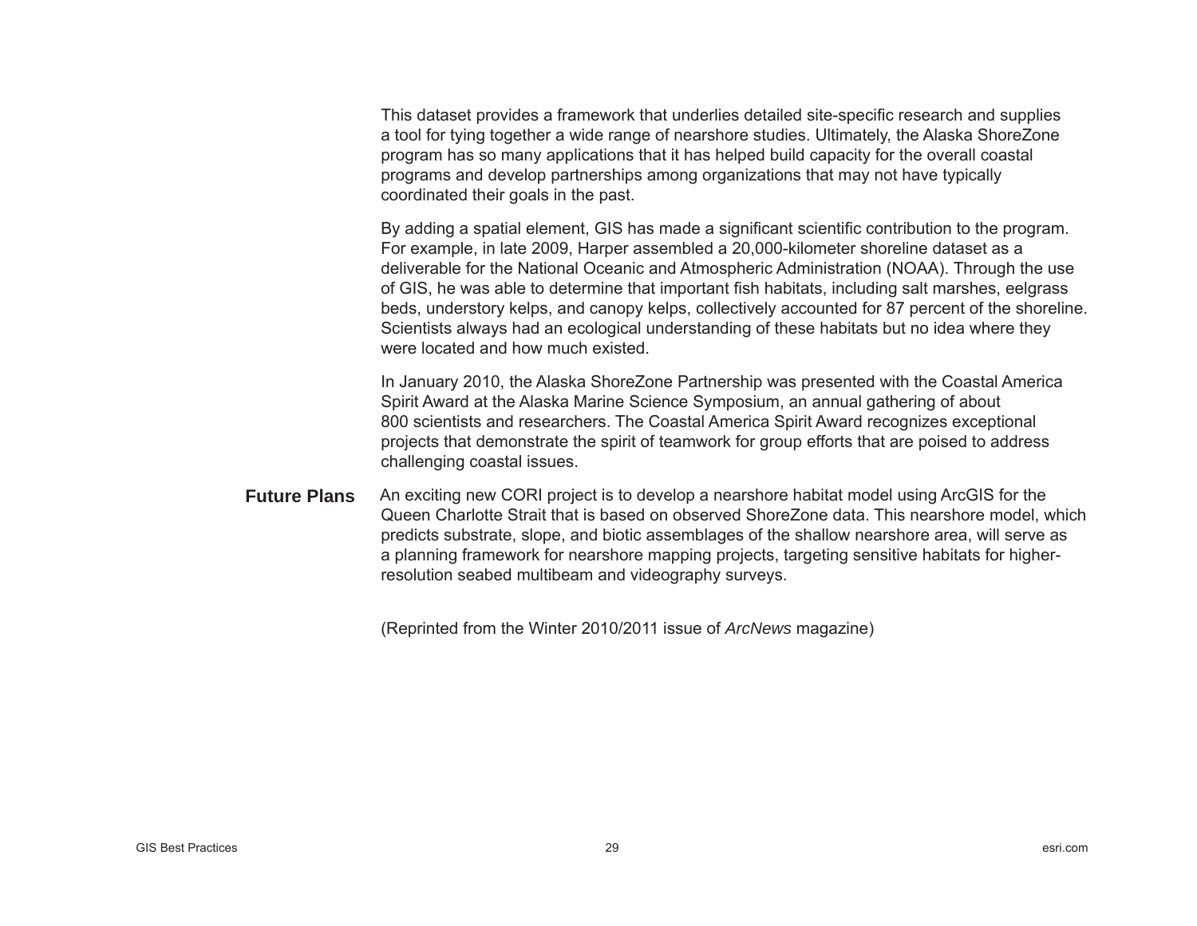This dataset provides a framework that underlies detailed site-specific research and supplies a tool for tying together a wide range of nearshore studies. Ultimately, the Alaska ShoreZone program has so many applications that it has helped build capacity for the overall coastal programs and develop partnerships among organizations that may not have typically coordinated their goals in the past.

By adding a spatial element, GIS has made a significant scientific contribution to the program. For example, in late 2009, Harper assembled a 20,000-kilometer shoreline dataset as a deliverable for the National Oceanic and Atmospheric Administration (NOAA). Through the use of GIS, he was able to determine that important fish habitats, including salt marshes, eelgrass beds, understory kelps, and canopy kelps, collectively accounted for 87 percent of the shoreline. Scientists always had an ecological understanding of these habitats but no idea where they were located and how much existed.

In January 2010, the Alaska ShoreZone Partnership was presented with the Coastal America Spirit Award at the Alaska Marine Science Symposium, an annual gathering of about 800 scientists and researchers. The Coastal America Spirit Award recognizes exceptional projects that demonstrate the spirit of teamwork for group efforts that are poised to address challenging coastal issues.

An exciting new CORI project is to develop a nearshore habitat model using ArcGIS for the Queen Charlotte Strait that is based on observed ShoreZone data. This nearshore model, which predicts substrate, slope, and biotic assemblages of the shallow nearshore area, will serve as a planning framework for nearshore mapping projects, targeting sensitive habitats for higherresolution seabed multibeam and videography surveys. **Future Plans**

(Reprinted from the Winter 2010/2011 issue of *ArcNews* magazine)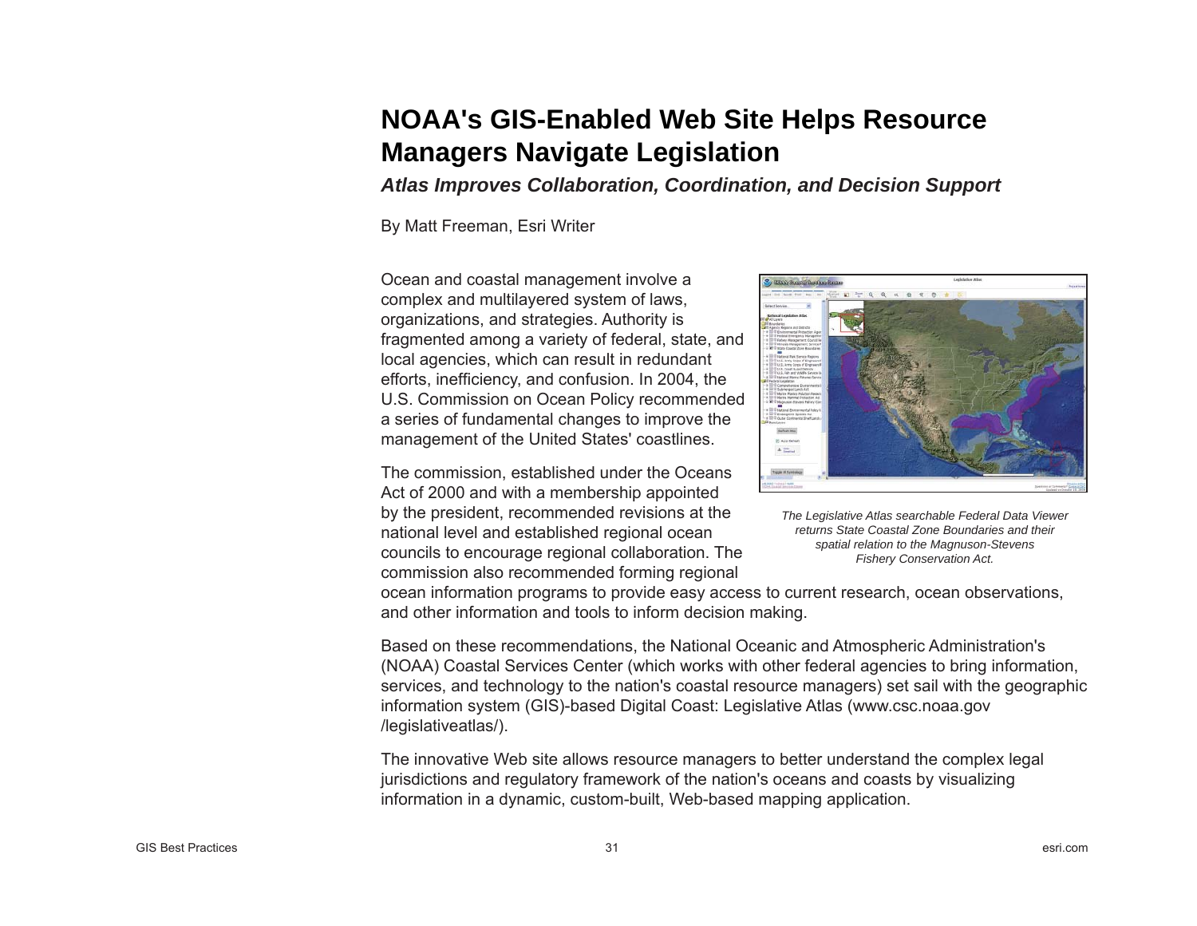## **NOAA's GIS-Enabled Web Site Helps Resource Managers Navigate Legislation**

*Atlas Improves Collaboration, Coordination, and Decision Support* 

By Matt Freeman, Esri Writer

Ocean and coastal management involve a complex and multilayered system of laws, organizations, and strategies. Authority is fragmented among a variety of federal, state, and local agencies, which can result in redundant efforts, inefficiency, and confusion. In 2004, the U.S. Commission on Ocean Policy recommended a series of fundamental changes to improve the management of the United States' coastlines.

The commission, established under the Oceans Act of 2000 and with a membership appointed by the president, recommended revisions at the national level and established regional ocean councils to encourage regional collaboration. The commission also recommended forming regional



*The Legislative Atlas searchable Federal Data Viewer returns State Coastal Zone Boundaries and their spatial relation to the Magnuson-Stevens Fishery Conservation Act.*

ocean information programs to provide easy access to current research, ocean observations, and other information and tools to inform decision making.

Based on these recommendations, the National Oceanic and Atmospheric Administration's (NOAA) Coastal Services Center (which works with other federal agencies to bring information, services, and technology to the nation's coastal resource managers) set sail with the geographic information system (GIS)-based Digital Coast: Legislative Atlas (www.csc.noaa.gov /legislativeatlas/).

The innovative Web site allows resource managers to better understand the complex legal jurisdictions and regulatory framework of the nation's oceans and coasts by visualizing information in a dynamic, custom-built, Web-based mapping application.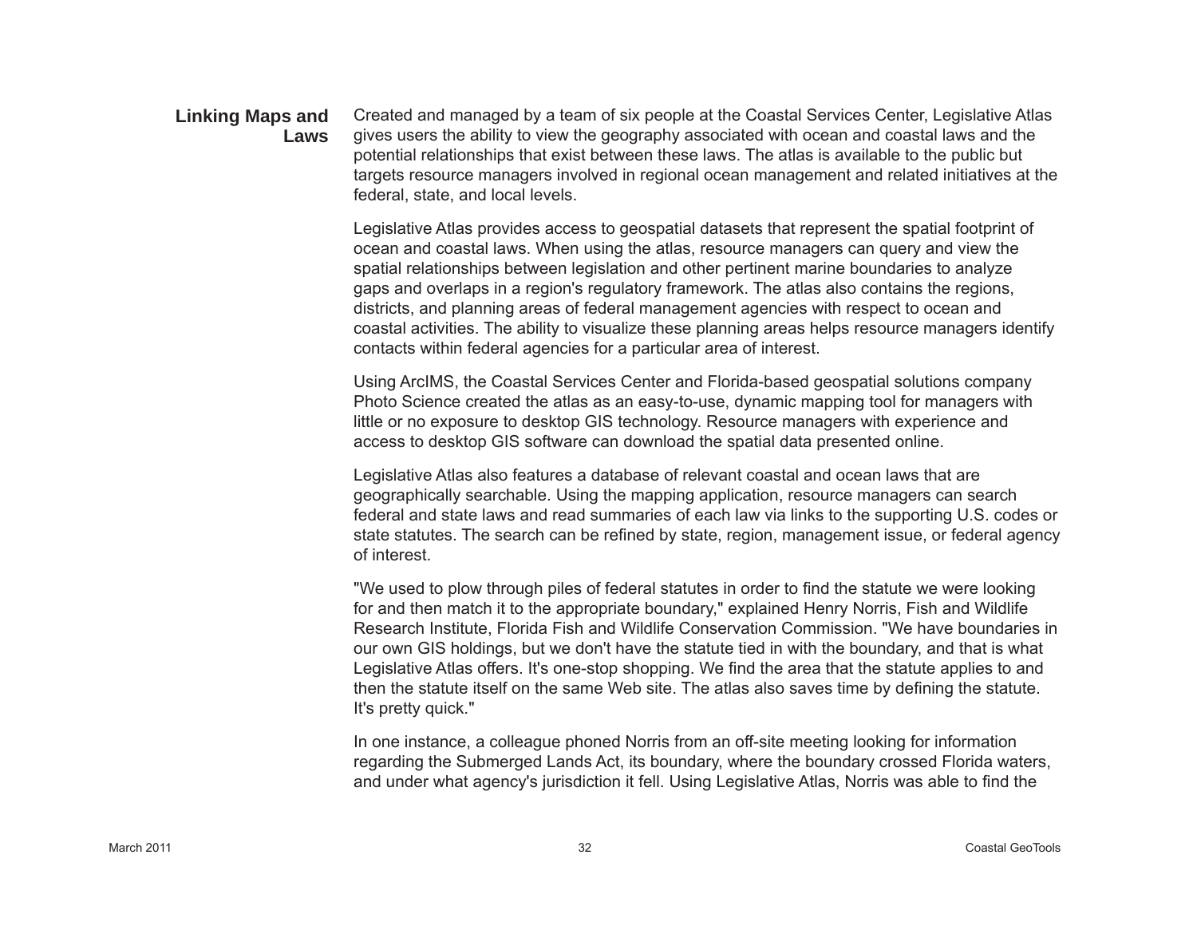#### Created and managed by a team of six people at the Coastal Services Center, Legislative Atlas gives users the ability to view the geography associated with ocean and coastal laws and the potential relationships that exist between these laws. The atlas is available to the public but targets resource managers involved in regional ocean management and related initiatives at the federal, state, and local levels. **Linking Maps and Laws**

Legislative Atlas provides access to geospatial datasets that represent the spatial footprint of ocean and coastal laws. When using the atlas, resource managers can query and view the spatial relationships between legislation and other pertinent marine boundaries to analyze gaps and overlaps in a region's regulatory framework. The atlas also contains the regions, districts, and planning areas of federal management agencies with respect to ocean and coastal activities. The ability to visualize these planning areas helps resource managers identify contacts within federal agencies for a particular area of interest.

Using ArcIMS, the Coastal Services Center and Florida-based geospatial solutions company Photo Science created the atlas as an easy-to-use, dynamic mapping tool for managers with little or no exposure to desktop GIS technology. Resource managers with experience and access to desktop GIS software can download the spatial data presented online.

Legislative Atlas also features a database of relevant coastal and ocean laws that are geographically searchable. Using the mapping application, resource managers can search federal and state laws and read summaries of each law via links to the supporting U.S. codes or state statutes. The search can be refined by state, region, management issue, or federal agency of interest.

"We used to plow through piles of federal statutes in order to find the statute we were looking for and then match it to the appropriate boundary," explained Henry Norris, Fish and Wildlife Research Institute, Florida Fish and Wildlife Conservation Commission. "We have boundaries in our own GIS holdings, but we don't have the statute tied in with the boundary, and that is what Legislative Atlas offers. It's one-stop shopping. We find the area that the statute applies to and then the statute itself on the same Web site. The atlas also saves time by defining the statute. It's pretty quick."

In one instance, a colleague phoned Norris from an off-site meeting looking for information regarding the Submerged Lands Act, its boundary, where the boundary crossed Florida waters, and under what agency's jurisdiction it fell. Using Legislative Atlas, Norris was able to find the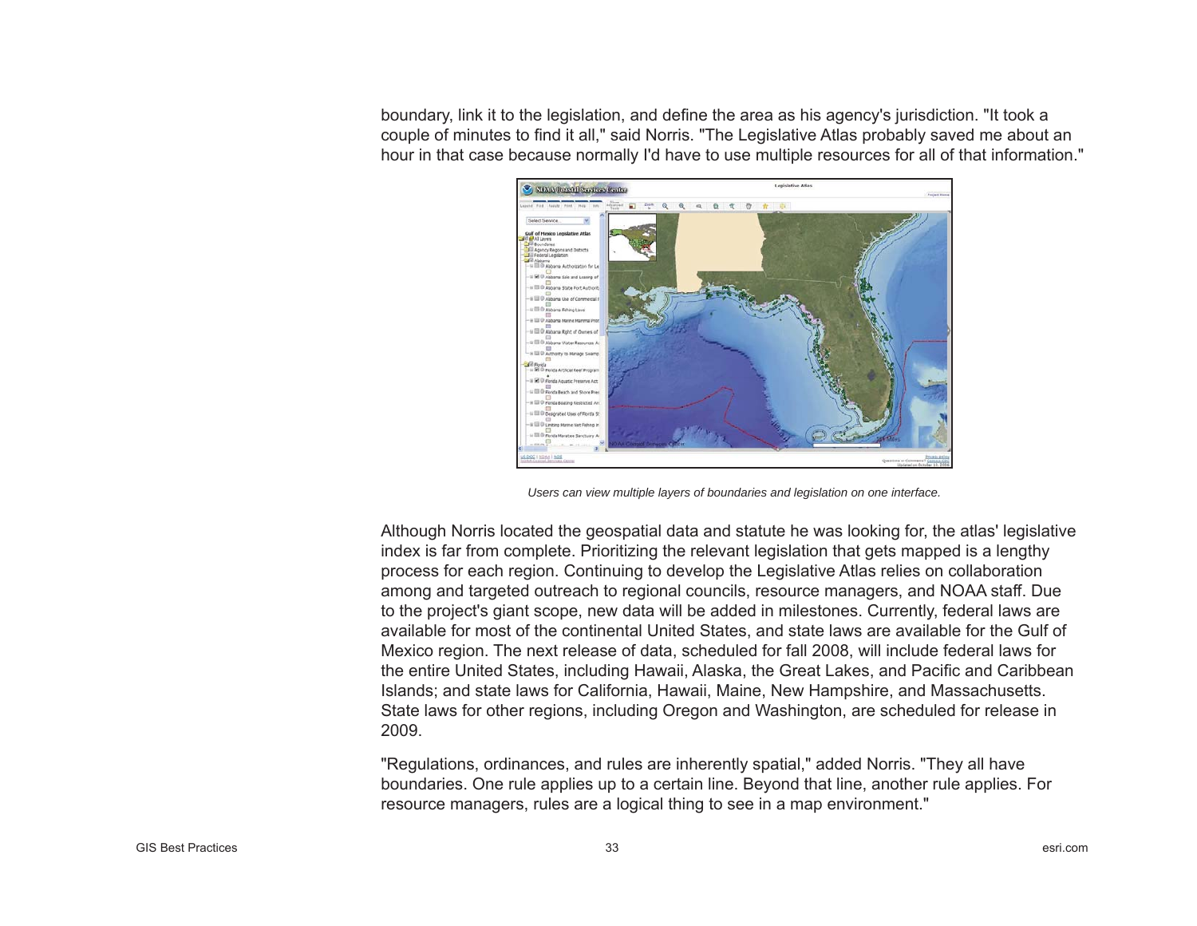boundary, link it to the legislation, and define the area as his agency's jurisdiction. "It took a couple of minutes to find it all," said Norris. "The Legislative Atlas probably saved me about an hour in that case because normally I'd have to use multiple resources for all of that information."



*Users can view multiple layers of boundaries and legislation on one interface.*

Although Norris located the geospatial data and statute he was looking for, the atlas' legislative index is far from complete. Prioritizing the relevant legislation that gets mapped is a lengthy process for each region. Continuing to develop the Legislative Atlas relies on collaboration among and targeted outreach to regional councils, resource managers, and NOAA staff. Due to the project's giant scope, new data will be added in milestones. Currently, federal laws are available for most of the continental United States, and state laws are available for the Gulf of Mexico region. The next release of data, scheduled for fall 2008, will include federal laws for the entire United States, including Hawaii, Alaska, the Great Lakes, and Paci fi c and Caribbean Islands; and state laws for California, Hawaii, Maine, New Hampshire, and Massachusetts. State laws for other regions, including Oregon and Washington, are scheduled for release in 2009.

"Regulations, ordinances, and rules are inherently spatial," added Norris. "They all have boundaries. One rule applies up to a certain line. Beyond that line, another rule applies. For resource managers, rules are a logical thing to see in a map environment."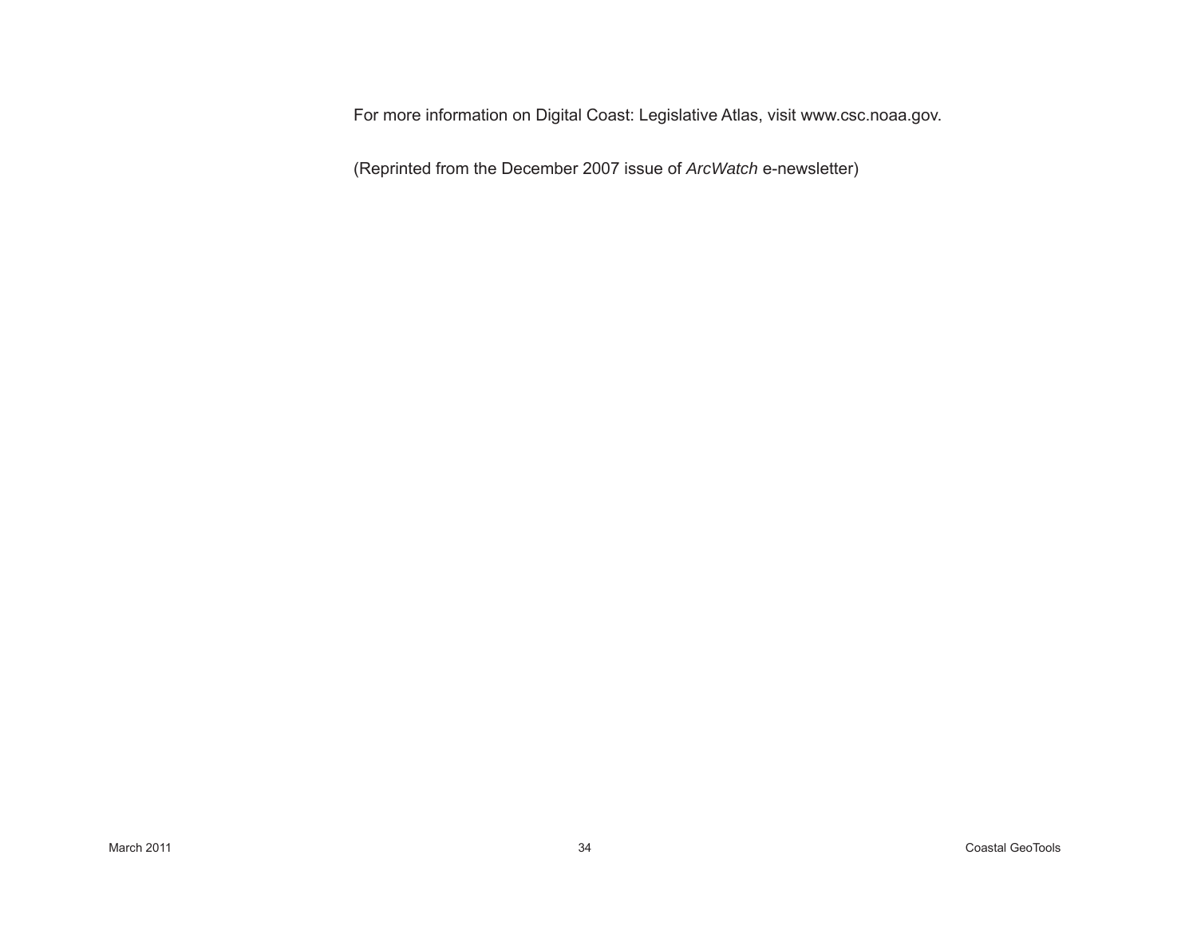For more information on Digital Coast: Legislative Atlas, visit www.csc.noaa.gov.

(Reprinted from the December 2007 issue of *ArcWatch* e-newsletter)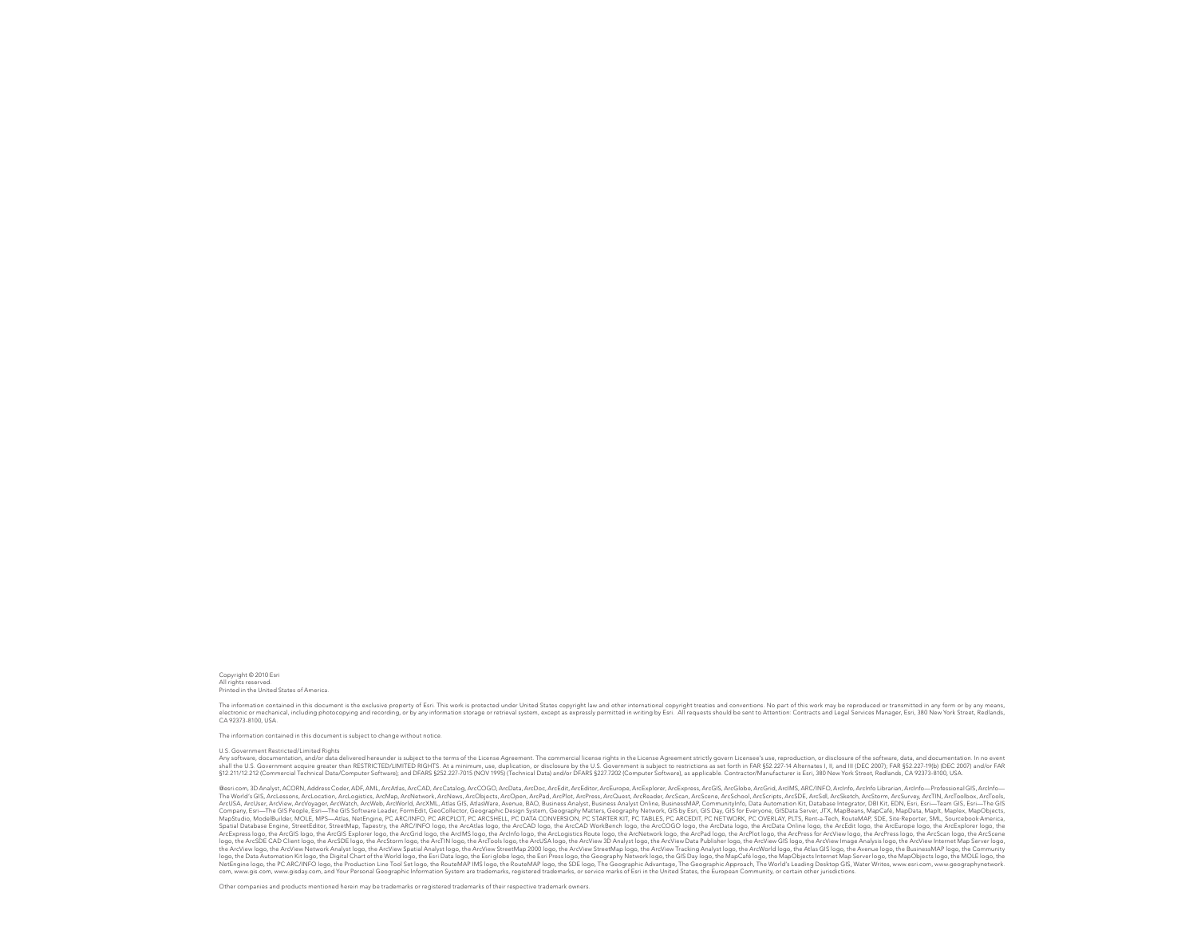Copyright © 2010 Esri All rights reserved. Printed in the United States of America.

The information contained in this document is the exclusive property of Esri. This work is protected under United States copyright law and other international copyright treaties and conventions. No part of this work may be

The information contained in this document is subject to change without notice.

#### U.S. Government Restricted/Limited Rights

Any software, documentation, and/or data delivered hereurderis subject to the terms of the License Agreement. The commercial license rights in the License's resperement stricks as set of this proportion or disclosure by th \$12.211/12.212 (Commercial Technical Data/Computer Software), and DFARS \$252.227-7015 (NOV 1995) (Technical Data) and/or DFARS \$227.7202 (Computer Software), as applicable. Contractor/Manufacturer is Esri, 380 New York Str

Gesti com 3D Analyst ACORN Address Coder ADE AMI ArcAtlas ArcCAD ArcCatalog ArcCOGO ArcData ArcCo Co. ArcEdit ArcEditor ArcEditor ArcEstone ArcEssolorer ArcEssones ArcGIS ArcGIda ArcGIG ArcIdio ArcInfo ArcHite ArcEssones ( esintum, paramy and an amount of the manus and many memory and manusum and many memory memory memory memory memory memory memory memory memory memory memory memory memory memory memory memory and the set of the set of the ArcUSA, ArcUser, ArcView, ArcVorager, ArcWatch, ArcWorb, ArcWold, ArcWold, ArcWold, ArcWold, ArcWold, ArcWold, ArcWold, ArcMu, Atlas GIS, AtlasWare, Avenue, BAO, Business Analyst, Dusiness Analyst Online, DusinessMAP, Comm Spatil Database Engine, StreetMary, Tapestry, the ARC/NiCl logo, the ArcAdtis logo, the ArcCAD logo, the ArcCAD WorkBench logo, the ArcOGO logo, the Archard once to expect to pay, the Archard of the ArcAdemas of the ArcAde logo, the ArCNe Clay the Archite logo, the Archite Archite Mass and Archite Mass and the Archite Schools logo, the ArcNew StreetMap 2001 logo, the ArcNew StreetMap logo, the ArcNew StreetMap logo, the ArcNew Tracking Analy com, www.gis.com, www.gisday.com, and Your Personal Geographic Information System are trademarks, registered trademarks, or service marks of Esri in the United States, the European Community, or certain other jurisdictions.